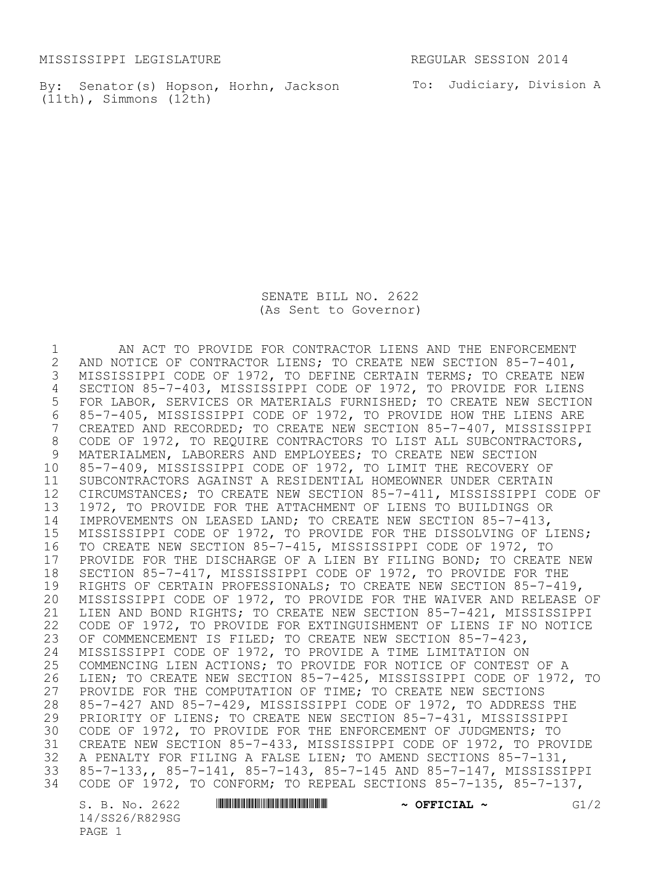MISSISSIPPI LEGISLATURE **REGULAR SESSION 2014** 

By: Senator(s) Hopson, Horhn, Jackson and To: Judiciary, Division A (11th), Simmons (12th)

SENATE BILL NO. 2622 (As Sent to Governor)

1 AN ACT TO PROVIDE FOR CONTRACTOR LIENS AND THE ENFORCEMENT<br>2 AND NOTICE OF CONTRACTOR LIENS; TO CREATE NEW SECTION 85-7-401, 2 AND NOTICE OF CONTRACTOR LIENS; TO CREATE NEW SECTION 85-7-401,<br>3 MISSISSIPPI CODE OF 1972, TO DEFINE CERTAIN TERMS; TO CREATE NET MISSISSIPPI CODE OF 1972, TO DEFINE CERTAIN TERMS; TO CREATE NEW 4 SECTION 85-7-403, MISSISSIPPI CODE OF 1972, TO PROVIDE FOR LIENS 5 FOR LABOR, SERVICES OR MATERIALS FURNISHED; TO CREATE NEW SECTION 6 85-7-405, MISSISSIPPI CODE OF 1972, TO PROVIDE HOW THE LIENS ARE CREATED AND RECORDED; TO CREATE NEW SECTION 85-7-407, MISSISSIPPI 8 CODE OF 1972, TO REQUIRE CONTRACTORS TO LIST ALL SUBCONTRACTORS,<br>9 MATERIALMEN, LABORERS AND EMPLOYEES; TO CREATE NEW SECTION MATERIALMEN, LABORERS AND EMPLOYEES; TO CREATE NEW SECTION 10 85-7-409, MISSISSIPPI CODE OF 1972, TO LIMIT THE RECOVERY OF 11 SUBCONTRACTORS AGAINST A RESIDENTIAL HOMEOWNER UNDER CERTAIN 12 CIRCUMSTANCES; TO CREATE NEW SECTION 85-7-411, MISSISSIPPI CODE OF 13 1972, TO PROVIDE FOR THE ATTACHMENT OF LIENS TO BUILDINGS OR 14 IMPROVEMENTS ON LEASED LAND; TO CREATE NEW SECTION 85-7-413, 15 MISSISSIPPI CODE OF 1972, TO PROVIDE FOR THE DISSOLVING OF LIENS; 16 TO CREATE NEW SECTION 85-7-415, MISSISSIPPI CODE OF 1972, TO 17 PROVIDE FOR THE DISCHARGE OF A LIEN BY FILING BOND; TO CREATE NEW<br>18 SECTION 85-7-417, MISSISSIPPI CODE OF 1972, TO PROVIDE FOR THE 18 SECTION 85-7-417, MISSISSIPPI CODE OF 1972, TO PROVIDE FOR THE<br>19 RIGHTS OF CERTAIN PROFESSIONALS: TO CREATE NEW SECTION 85-7-419 19 RIGHTS OF CERTAIN PROFESSIONALS; TO CREATE NEW SECTION 85-7-419,<br>20 MISSISSIPPI CODE OF 1972, TO PROVIDE FOR THE WAIVER AND RELEASE MISSISSIPPI CODE OF 1972, TO PROVIDE FOR THE WAIVER AND RELEASE OF 21 LIEN AND BOND RIGHTS; TO CREATE NEW SECTION 85-7-421, MISSISSIPPI 22 CODE OF 1972, TO PROVIDE FOR EXTINGUISHMENT OF LIENS IF NO NOTICE 23 OF COMMENCEMENT IS FILED; TO CREATE NEW SECTION 85-7-423, 24 MISSISSIPPI CODE OF 1972, TO PROVIDE A TIME LIMITATION ON<br>25 COMMENCING LIEN ACTIONS; TO PROVIDE FOR NOTICE OF CONTEST 25 COMMENCING LIEN ACTIONS; TO PROVIDE FOR NOTICE OF CONTEST OF A<br>26 LIEN: TO CREATE NEW SECTION 85-7-425, MISSISSIPPI CODE OF 1972 LIEN; TO CREATE NEW SECTION 85-7-425, MISSISSIPPI CODE OF 1972, TO 27 PROVIDE FOR THE COMPUTATION OF TIME; TO CREATE NEW SECTIONS 28 85-7-427 AND 85-7-429, MISSISSIPPI CODE OF 1972, TO ADDRESS THE<br>29 PRIORITY OF LIENS; TO CREATE NEW SECTION 85-7-431, MISSISSIPPI PRIORITY OF LIENS; TO CREATE NEW SECTION 85-7-431, MISSISSIPPI 30 CODE OF 1972, TO PROVIDE FOR THE ENFORCEMENT OF JUDGMENTS; TO 31 CREATE NEW SECTION 85-7-433, MISSISSIPPI CODE OF 1972, TO PROVIDE 32 A PENALTY FOR FILING A FALSE LIEN; TO AMEND SECTIONS 85-7-131, 33 85-7-133,, 85-7-141, 85-7-143, 85-7-145 AND 85-7-147, MISSISSIPPI 34 CODE OF 1972, TO CONFORM; TO REPEAL SECTIONS 85-7-135, 85-7-137,

14/SS26/R829SG PAGE 1

S. B. No. 2622 **\*\*\* A SECONDEM** \*\*\* *G***I/2 \*\*\* OFFICIAL \*\*** GI/2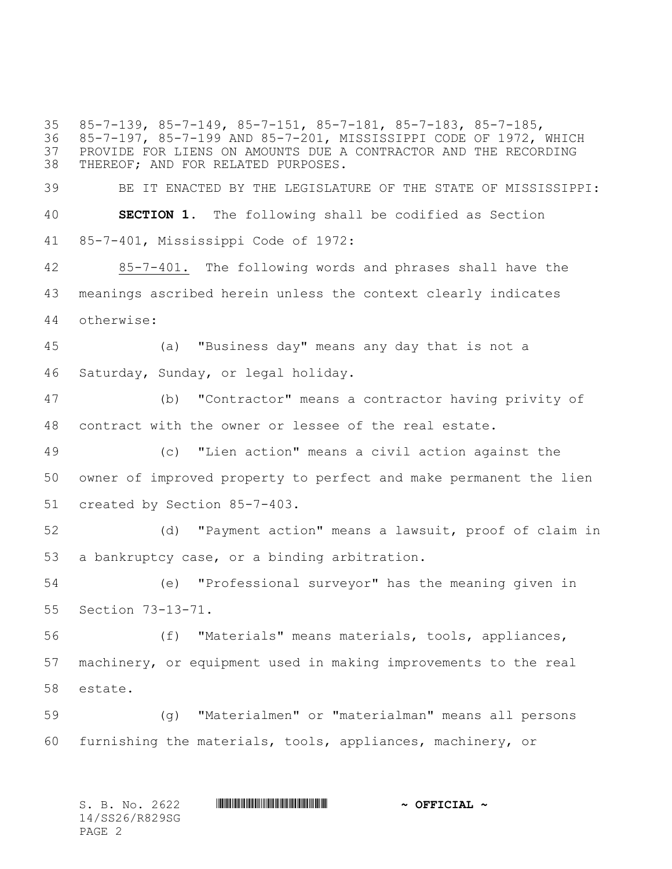85-7-139, 85-7-149, 85-7-151, 85-7-181, 85-7-183, 85-7-185, 85-7-197, 85-7-199 AND 85-7-201, MISSISSIPPI CODE OF 1972, WHICH PROVIDE FOR LIENS ON AMOUNTS DUE A CONTRACTOR AND THE RECORDING THEREOF; AND FOR RELATED PURPOSES. BE IT ENACTED BY THE LEGISLATURE OF THE STATE OF MISSISSIPPI: **SECTION 1.** The following shall be codified as Section 85-7-401, Mississippi Code of 1972: 85-7-401. The following words and phrases shall have the meanings ascribed herein unless the context clearly indicates otherwise: (a) "Business day" means any day that is not a Saturday, Sunday, or legal holiday. (b) "Contractor" means a contractor having privity of contract with the owner or lessee of the real estate. (c) "Lien action" means a civil action against the owner of improved property to perfect and make permanent the lien created by Section 85-7-403. (d) "Payment action" means a lawsuit, proof of claim in a bankruptcy case, or a binding arbitration. (e) "Professional surveyor" has the meaning given in Section 73-13-71. (f) "Materials" means materials, tools, appliances, machinery, or equipment used in making improvements to the real estate. (g) "Materialmen" or "materialman" means all persons furnishing the materials, tools, appliances, machinery, or

| S. B. No. 2622 | $\sim$ OFFICIAL $\sim$ |
|----------------|------------------------|
| 14/SS26/R829SG |                        |
| PAGE 2         |                        |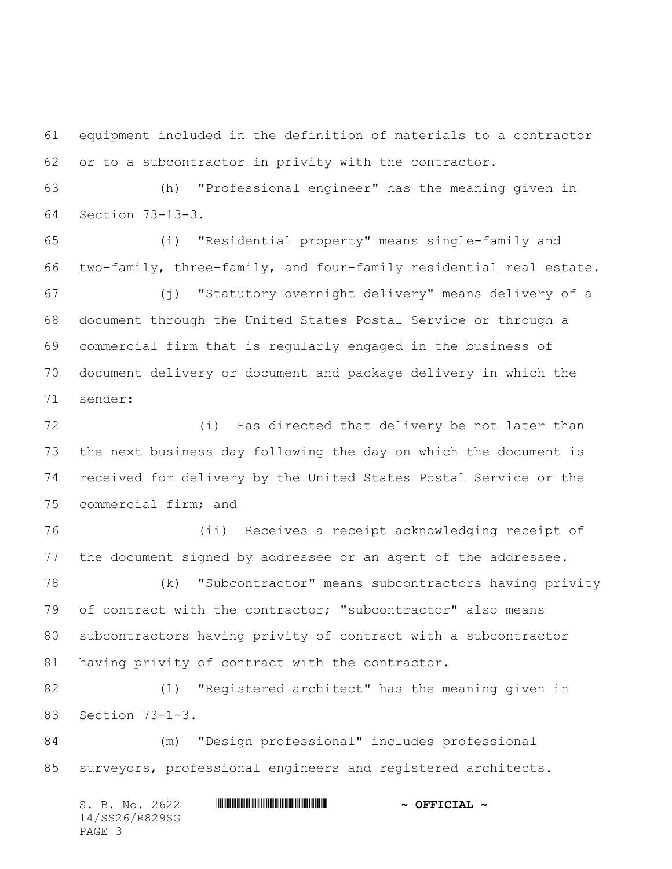equipment included in the definition of materials to a contractor or to a subcontractor in privity with the contractor.

 (h) "Professional engineer" has the meaning given in Section 73-13-3.

 (i) "Residential property" means single-family and two-family, three-family, and four-family residential real estate.

 (j) "Statutory overnight delivery" means delivery of a document through the United States Postal Service or through a commercial firm that is regularly engaged in the business of document delivery or document and package delivery in which the sender:

 (i) Has directed that delivery be not later than the next business day following the day on which the document is received for delivery by the United States Postal Service or the commercial firm; and

 (ii) Receives a receipt acknowledging receipt of the document signed by addressee or an agent of the addressee.

 (k) "Subcontractor" means subcontractors having privity of contract with the contractor; "subcontractor" also means subcontractors having privity of contract with a subcontractor having privity of contract with the contractor.

 (l) "Registered architect" has the meaning given in Section 73-1-3.

 (m) "Design professional" includes professional surveyors, professional engineers and registered architects.

S. B. No. 2622 **\*\*\* WILL AND \*\*\* \*\*\* \*\*\* \*\*\* \*\*\* \*\*\* \*\*\* \*\*\* \*\*\* \*\*\* \*\* \*\*\* \*\* \*\* \*\* \*\* \*\* \*\* \*\* \*\* \*\* \*\* \*\* \*\* \*\* \*\* \*\* \*\* \*\* \*\* \*\* \*\* \*\* \*\* \*\* \*\*** 14/SS26/R829SG PAGE 3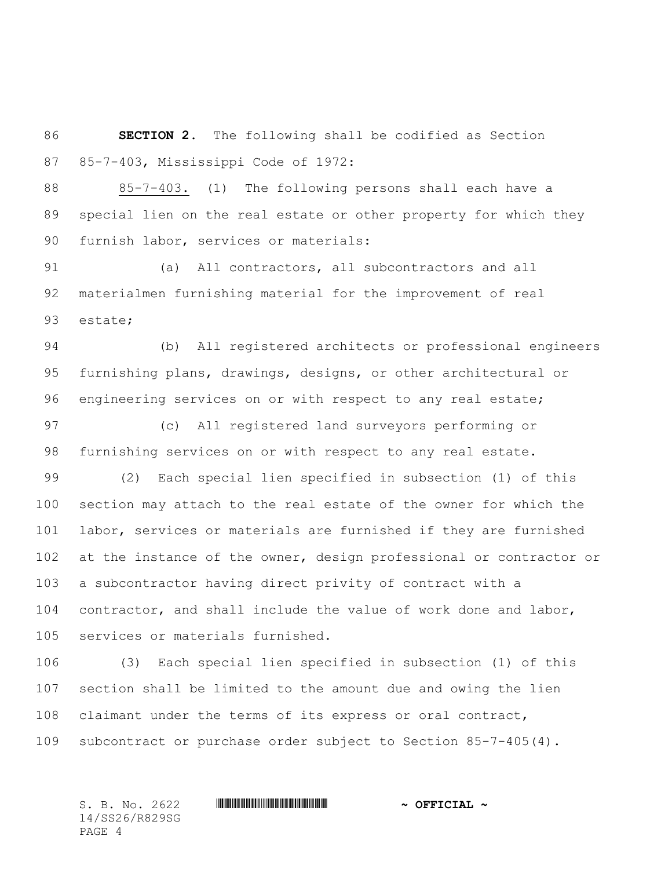**SECTION 2.** The following shall be codified as Section 85-7-403, Mississippi Code of 1972:

 85-7-403. (1) The following persons shall each have a special lien on the real estate or other property for which they furnish labor, services or materials:

 (a) All contractors, all subcontractors and all materialmen furnishing material for the improvement of real estate;

 (b) All registered architects or professional engineers furnishing plans, drawings, designs, or other architectural or engineering services on or with respect to any real estate;

 (c) All registered land surveyors performing or furnishing services on or with respect to any real estate.

 (2) Each special lien specified in subsection (1) of this section may attach to the real estate of the owner for which the labor, services or materials are furnished if they are furnished at the instance of the owner, design professional or contractor or a subcontractor having direct privity of contract with a contractor, and shall include the value of work done and labor, services or materials furnished.

 (3) Each special lien specified in subsection (1) of this section shall be limited to the amount due and owing the lien claimant under the terms of its express or oral contract, subcontract or purchase order subject to Section 85-7-405(4).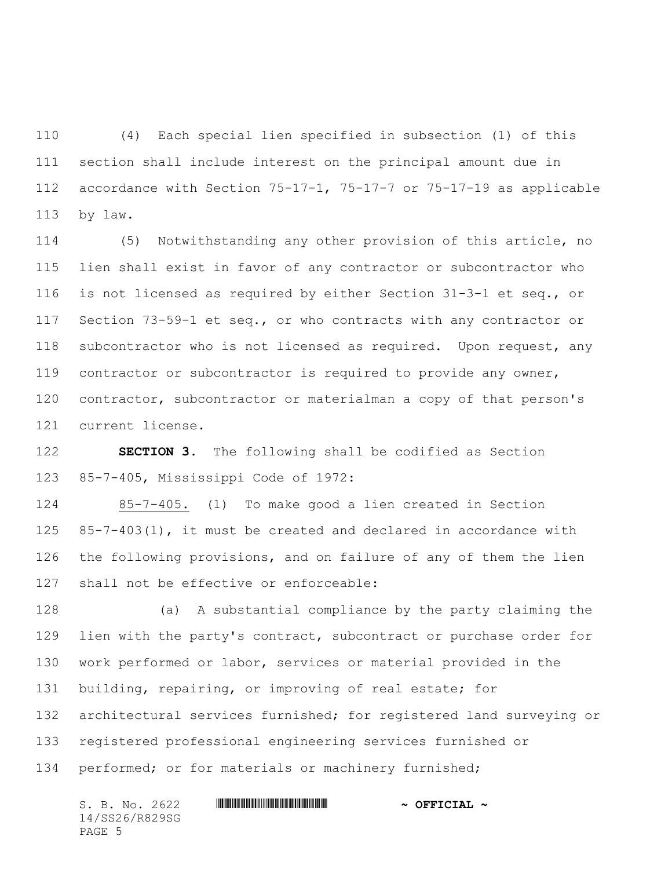(4) Each special lien specified in subsection (1) of this section shall include interest on the principal amount due in accordance with Section 75-17-1, 75-17-7 or 75-17-19 as applicable by law.

 (5) Notwithstanding any other provision of this article, no lien shall exist in favor of any contractor or subcontractor who is not licensed as required by either Section 31-3-1 et seq., or Section 73-59-1 et seq., or who contracts with any contractor or subcontractor who is not licensed as required. Upon request, any contractor or subcontractor is required to provide any owner, 120 contractor, subcontractor or materialman a copy of that person's current license.

 **SECTION 3.** The following shall be codified as Section 85-7-405, Mississippi Code of 1972:

 85-7-405. (1) To make good a lien created in Section 85-7-403(1), it must be created and declared in accordance with the following provisions, and on failure of any of them the lien shall not be effective or enforceable:

 (a) A substantial compliance by the party claiming the 129 lien with the party's contract, subcontract or purchase order for work performed or labor, services or material provided in the building, repairing, or improving of real estate; for architectural services furnished; for registered land surveying or registered professional engineering services furnished or performed; or for materials or machinery furnished;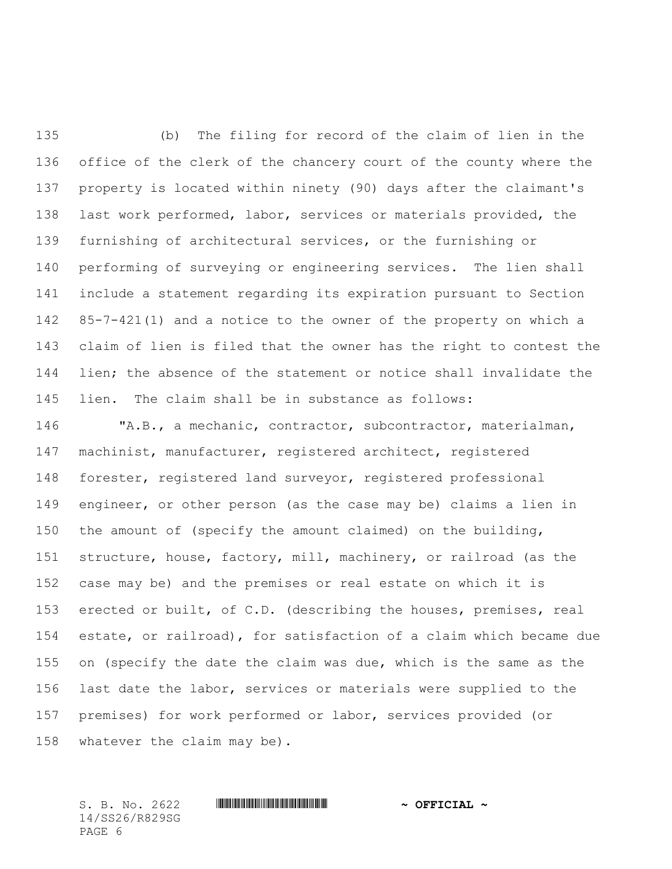(b) The filing for record of the claim of lien in the office of the clerk of the chancery court of the county where the property is located within ninety (90) days after the claimant's last work performed, labor, services or materials provided, the furnishing of architectural services, or the furnishing or performing of surveying or engineering services. The lien shall include a statement regarding its expiration pursuant to Section 85-7-421(1) and a notice to the owner of the property on which a claim of lien is filed that the owner has the right to contest the lien; the absence of the statement or notice shall invalidate the lien. The claim shall be in substance as follows:

 "A.B., a mechanic, contractor, subcontractor, materialman, machinist, manufacturer, registered architect, registered forester, registered land surveyor, registered professional engineer, or other person (as the case may be) claims a lien in the amount of (specify the amount claimed) on the building, structure, house, factory, mill, machinery, or railroad (as the case may be) and the premises or real estate on which it is erected or built, of C.D. (describing the houses, premises, real estate, or railroad), for satisfaction of a claim which became due on (specify the date the claim was due, which is the same as the last date the labor, services or materials were supplied to the premises) for work performed or labor, services provided (or whatever the claim may be).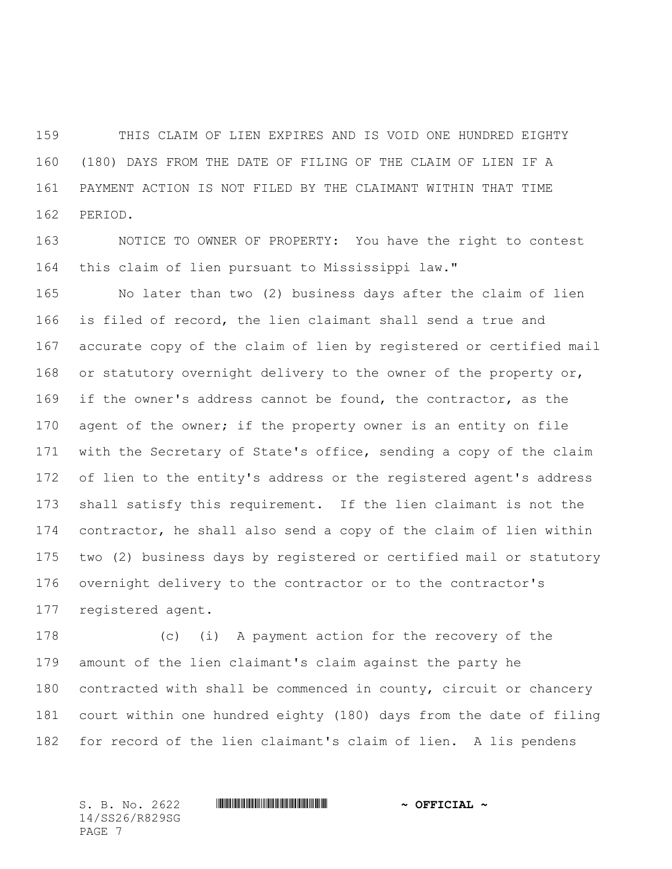THIS CLAIM OF LIEN EXPIRES AND IS VOID ONE HUNDRED EIGHTY (180) DAYS FROM THE DATE OF FILING OF THE CLAIM OF LIEN IF A PAYMENT ACTION IS NOT FILED BY THE CLAIMANT WITHIN THAT TIME PERIOD.

 NOTICE TO OWNER OF PROPERTY: You have the right to contest this claim of lien pursuant to Mississippi law."

 No later than two (2) business days after the claim of lien is filed of record, the lien claimant shall send a true and accurate copy of the claim of lien by registered or certified mail 168 or statutory overnight delivery to the owner of the property or, if the owner's address cannot be found, the contractor, as the 170 agent of the owner; if the property owner is an entity on file with the Secretary of State's office, sending a copy of the claim of lien to the entity's address or the registered agent's address shall satisfy this requirement. If the lien claimant is not the contractor, he shall also send a copy of the claim of lien within two (2) business days by registered or certified mail or statutory overnight delivery to the contractor or to the contractor's registered agent.

 (c) (i) A payment action for the recovery of the amount of the lien claimant's claim against the party he contracted with shall be commenced in county, circuit or chancery court within one hundred eighty (180) days from the date of filing for record of the lien claimant's claim of lien. A lis pendens

14/SS26/R829SG PAGE 7

#### S. B. No. 2622 \*SS26/R829SG\* **~ OFFICIAL ~**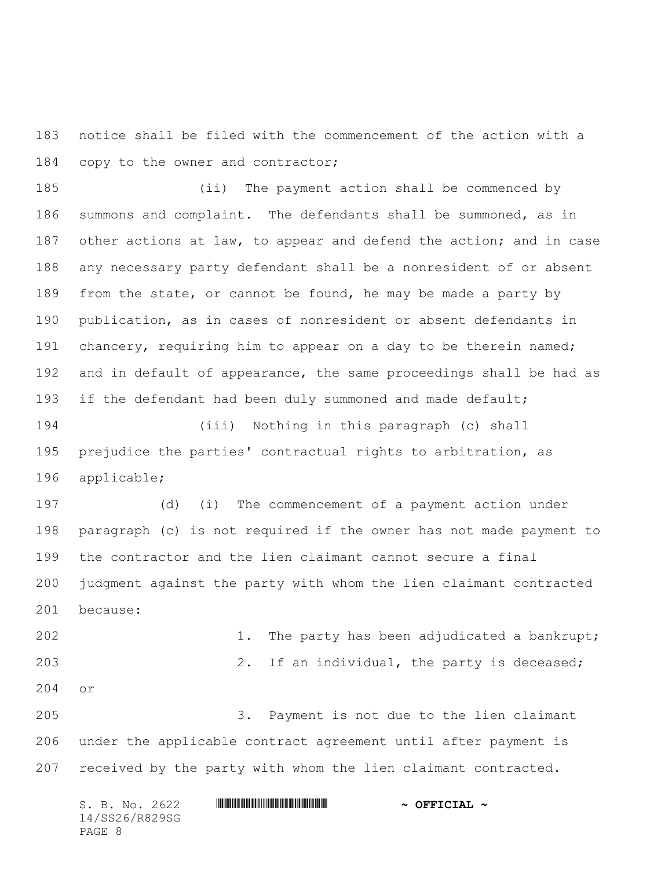notice shall be filed with the commencement of the action with a 184 copy to the owner and contractor;

 (ii) The payment action shall be commenced by summons and complaint. The defendants shall be summoned, as in 187 other actions at law, to appear and defend the action; and in case any necessary party defendant shall be a nonresident of or absent 189 from the state, or cannot be found, he may be made a party by publication, as in cases of nonresident or absent defendants in 191 chancery, requiring him to appear on a day to be therein named; and in default of appearance, the same proceedings shall be had as 193 if the defendant had been duly summoned and made default;

 (iii) Nothing in this paragraph (c) shall prejudice the parties' contractual rights to arbitration, as applicable;

 (d) (i) The commencement of a payment action under paragraph (c) is not required if the owner has not made payment to the contractor and the lien claimant cannot secure a final judgment against the party with whom the lien claimant contracted because:

 1. The party has been adjudicated a bankrupt; 203 2. If an individual, the party is deceased; or

 3. Payment is not due to the lien claimant under the applicable contract agreement until after payment is received by the party with whom the lien claimant contracted.

| S. B. No. 2622 | $\sim$ OFFICIAL $\sim$ |
|----------------|------------------------|
| 14/SS26/R829SG |                        |
| PAGE 8         |                        |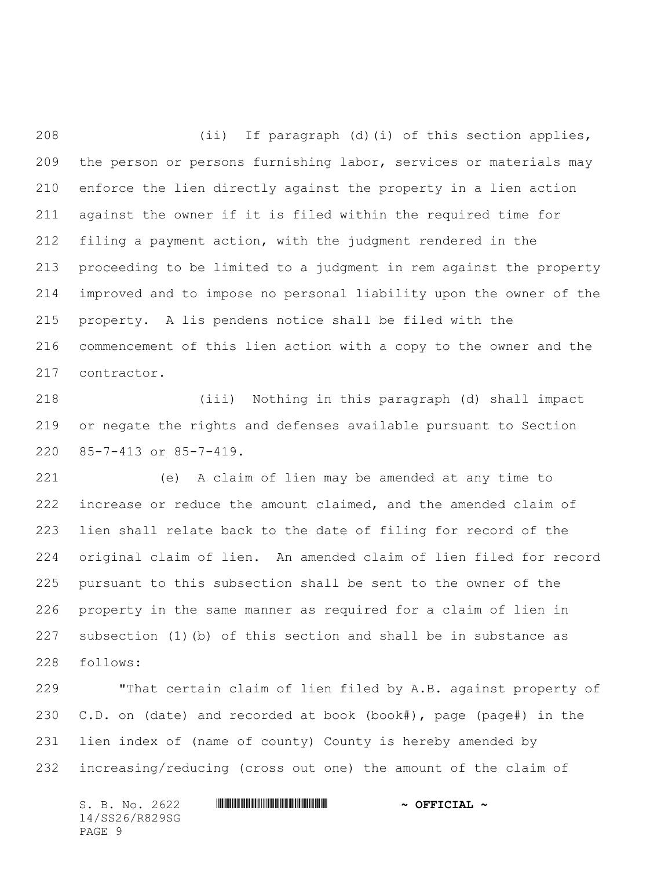(ii) If paragraph (d)(i) of this section applies, the person or persons furnishing labor, services or materials may enforce the lien directly against the property in a lien action against the owner if it is filed within the required time for filing a payment action, with the judgment rendered in the proceeding to be limited to a judgment in rem against the property improved and to impose no personal liability upon the owner of the property. A lis pendens notice shall be filed with the commencement of this lien action with a copy to the owner and the contractor.

 (iii) Nothing in this paragraph (d) shall impact or negate the rights and defenses available pursuant to Section 85-7-413 or 85-7-419.

 (e) A claim of lien may be amended at any time to increase or reduce the amount claimed, and the amended claim of lien shall relate back to the date of filing for record of the original claim of lien. An amended claim of lien filed for record pursuant to this subsection shall be sent to the owner of the property in the same manner as required for a claim of lien in subsection (1)(b) of this section and shall be in substance as follows:

 "That certain claim of lien filed by A.B. against property of C.D. on (date) and recorded at book (book#), page (page#) in the lien index of (name of county) County is hereby amended by increasing/reducing (cross out one) the amount of the claim of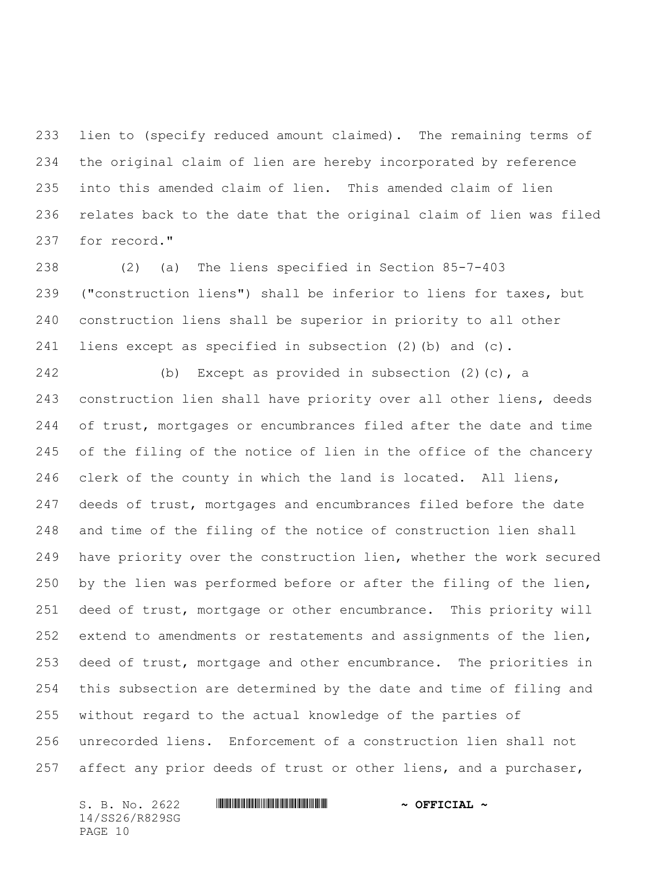lien to (specify reduced amount claimed). The remaining terms of the original claim of lien are hereby incorporated by reference into this amended claim of lien. This amended claim of lien relates back to the date that the original claim of lien was filed for record."

 (2) (a) The liens specified in Section 85-7-403 ("construction liens") shall be inferior to liens for taxes, but construction liens shall be superior in priority to all other liens except as specified in subsection (2)(b) and (c).

 (b) Except as provided in subsection (2)(c), a construction lien shall have priority over all other liens, deeds of trust, mortgages or encumbrances filed after the date and time of the filing of the notice of lien in the office of the chancery clerk of the county in which the land is located. All liens, 247 deeds of trust, mortgages and encumbrances filed before the date and time of the filing of the notice of construction lien shall have priority over the construction lien, whether the work secured by the lien was performed before or after the filing of the lien, deed of trust, mortgage or other encumbrance. This priority will extend to amendments or restatements and assignments of the lien, deed of trust, mortgage and other encumbrance. The priorities in this subsection are determined by the date and time of filing and without regard to the actual knowledge of the parties of unrecorded liens. Enforcement of a construction lien shall not 257 affect any prior deeds of trust or other liens, and a purchaser,

14/SS26/R829SG PAGE 10

#### S. B. No. 2622 \*SS26/R829SG\* **~ OFFICIAL ~**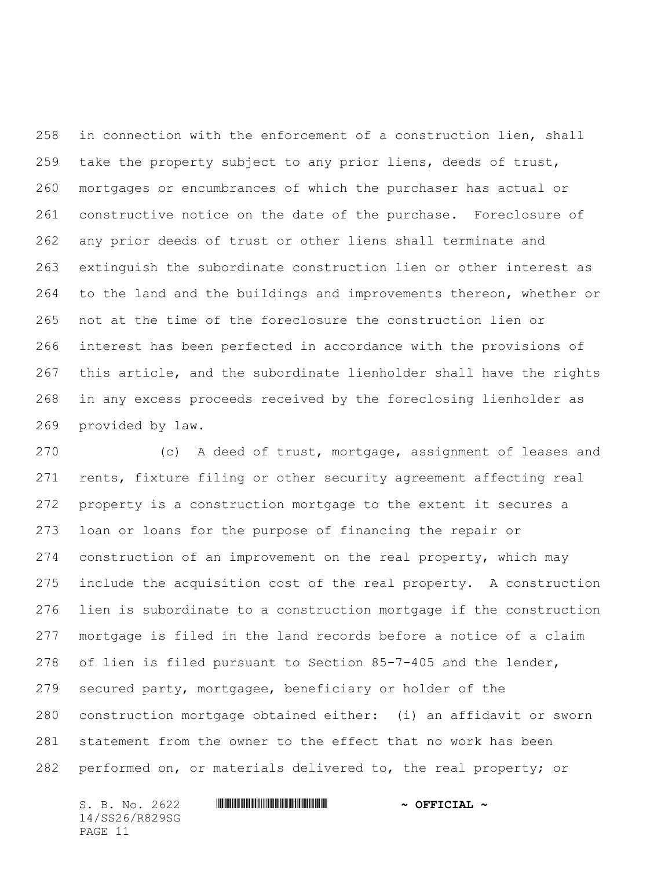in connection with the enforcement of a construction lien, shall take the property subject to any prior liens, deeds of trust, mortgages or encumbrances of which the purchaser has actual or constructive notice on the date of the purchase. Foreclosure of any prior deeds of trust or other liens shall terminate and extinguish the subordinate construction lien or other interest as to the land and the buildings and improvements thereon, whether or not at the time of the foreclosure the construction lien or interest has been perfected in accordance with the provisions of this article, and the subordinate lienholder shall have the rights in any excess proceeds received by the foreclosing lienholder as provided by law.

 (c) A deed of trust, mortgage, assignment of leases and rents, fixture filing or other security agreement affecting real property is a construction mortgage to the extent it secures a loan or loans for the purpose of financing the repair or construction of an improvement on the real property, which may include the acquisition cost of the real property. A construction lien is subordinate to a construction mortgage if the construction mortgage is filed in the land records before a notice of a claim of lien is filed pursuant to Section 85-7-405 and the lender, secured party, mortgagee, beneficiary or holder of the construction mortgage obtained either: (i) an affidavit or sworn statement from the owner to the effect that no work has been performed on, or materials delivered to, the real property; or

S. B. No. 2622 **\*\*\* WILL AND \*\*\* \*\*\* \*\*\* \*\*\* \*\*\* \*\*\* \*\*\* \*\*\* \*\*\* \*\*\* \*\* \*\*\* \*\* \*\* \*\* \*\* \*\* \*\* \*\* \*\* \*\* \*\* \*\* \*\* \*\* \*\* \*\* \*\* \*\* \*\* \*\* \*\* \*\* \*\* \*\* \*\*** 14/SS26/R829SG PAGE 11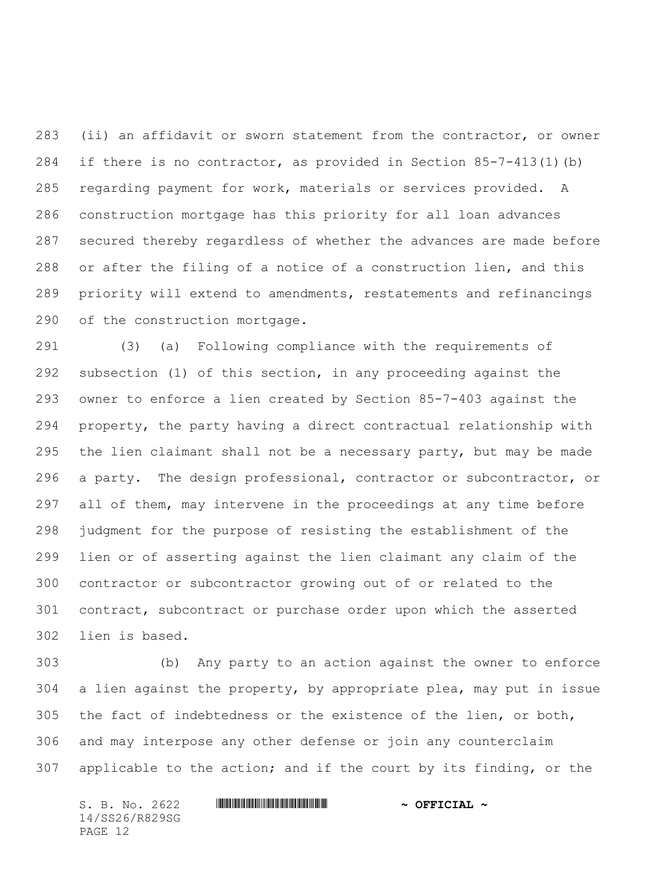(ii) an affidavit or sworn statement from the contractor, or owner if there is no contractor, as provided in Section 85-7-413(1)(b) regarding payment for work, materials or services provided. A construction mortgage has this priority for all loan advances secured thereby regardless of whether the advances are made before or after the filing of a notice of a construction lien, and this priority will extend to amendments, restatements and refinancings of the construction mortgage.

 (3) (a) Following compliance with the requirements of subsection (1) of this section, in any proceeding against the owner to enforce a lien created by Section 85-7-403 against the property, the party having a direct contractual relationship with the lien claimant shall not be a necessary party, but may be made a party. The design professional, contractor or subcontractor, or all of them, may intervene in the proceedings at any time before judgment for the purpose of resisting the establishment of the lien or of asserting against the lien claimant any claim of the contractor or subcontractor growing out of or related to the contract, subcontract or purchase order upon which the asserted lien is based.

 (b) Any party to an action against the owner to enforce a lien against the property, by appropriate plea, may put in issue the fact of indebtedness or the existence of the lien, or both, and may interpose any other defense or join any counterclaim applicable to the action; and if the court by its finding, or the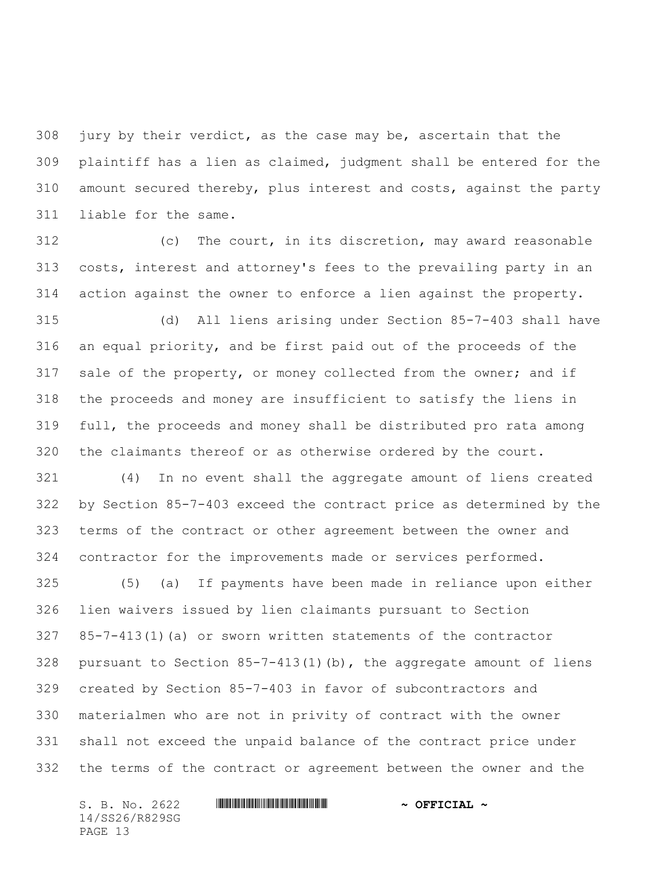jury by their verdict, as the case may be, ascertain that the plaintiff has a lien as claimed, judgment shall be entered for the amount secured thereby, plus interest and costs, against the party liable for the same.

 (c) The court, in its discretion, may award reasonable costs, interest and attorney's fees to the prevailing party in an action against the owner to enforce a lien against the property.

 (d) All liens arising under Section 85-7-403 shall have an equal priority, and be first paid out of the proceeds of the sale of the property, or money collected from the owner; and if the proceeds and money are insufficient to satisfy the liens in full, the proceeds and money shall be distributed pro rata among the claimants thereof or as otherwise ordered by the court.

 (4) In no event shall the aggregate amount of liens created by Section 85-7-403 exceed the contract price as determined by the terms of the contract or other agreement between the owner and contractor for the improvements made or services performed.

 (5) (a) If payments have been made in reliance upon either lien waivers issued by lien claimants pursuant to Section 85-7-413(1)(a) or sworn written statements of the contractor 328 pursuant to Section  $85-7-413(1)$  (b), the aggregate amount of liens created by Section 85-7-403 in favor of subcontractors and materialmen who are not in privity of contract with the owner shall not exceed the unpaid balance of the contract price under the terms of the contract or agreement between the owner and the

14/SS26/R829SG PAGE 13

#### S. B. No. 2622 **\*\*\* WILL AND \*\*\* \*\*\* \*\*\* \*\*\* \*\*\* \*\*\* \*\*\* \*\*\* \*\*\* \*\*\* \*\* \*\*\* \*\* \*\* \*\* \*\* \*\* \*\* \*\* \*\* \*\* \*\* \*\* \*\* \*\* \*\* \*\* \*\* \*\* \*\* \*\* \*\* \*\* \*\* \*\* \*\***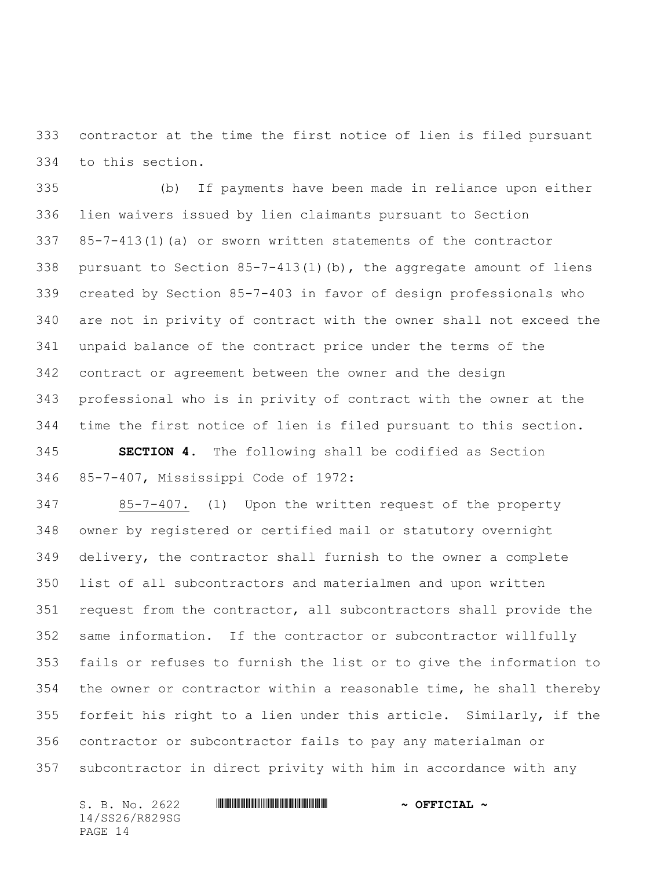contractor at the time the first notice of lien is filed pursuant to this section.

 (b) If payments have been made in reliance upon either lien waivers issued by lien claimants pursuant to Section 85-7-413(1)(a) or sworn written statements of the contractor pursuant to Section 85-7-413(1)(b), the aggregate amount of liens created by Section 85-7-403 in favor of design professionals who are not in privity of contract with the owner shall not exceed the unpaid balance of the contract price under the terms of the contract or agreement between the owner and the design professional who is in privity of contract with the owner at the time the first notice of lien is filed pursuant to this section.

 **SECTION 4.** The following shall be codified as Section 85-7-407, Mississippi Code of 1972:

 85-7-407. (1) Upon the written request of the property owner by registered or certified mail or statutory overnight delivery, the contractor shall furnish to the owner a complete list of all subcontractors and materialmen and upon written request from the contractor, all subcontractors shall provide the same information. If the contractor or subcontractor willfully fails or refuses to furnish the list or to give the information to the owner or contractor within a reasonable time, he shall thereby forfeit his right to a lien under this article. Similarly, if the contractor or subcontractor fails to pay any materialman or subcontractor in direct privity with him in accordance with any

S. B. No. 2622 **\*\*\* WILL AND \*\*\* \*\*\* \*\*\* \*\*\* \*\*\* \*\*\* \*\*\* \*\*\* \*\*\* \*\*\* \*\* \*\*\* \*\* \*\* \*\* \*\* \*\* \*\* \*\* \*\* \*\* \*\* \*\* \*\* \*\* \*\* \*\* \*\* \*\* \*\* \*\* \*\* \*\* \*\* \*\* \*\*** 14/SS26/R829SG PAGE 14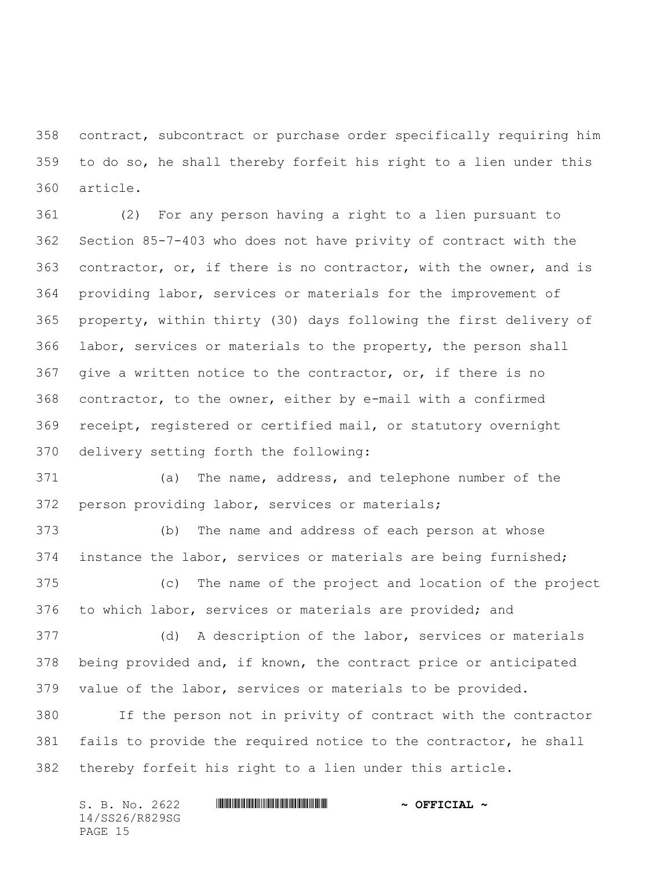contract, subcontract or purchase order specifically requiring him to do so, he shall thereby forfeit his right to a lien under this article.

 (2) For any person having a right to a lien pursuant to Section 85-7-403 who does not have privity of contract with the contractor, or, if there is no contractor, with the owner, and is providing labor, services or materials for the improvement of property, within thirty (30) days following the first delivery of labor, services or materials to the property, the person shall give a written notice to the contractor, or, if there is no contractor, to the owner, either by e-mail with a confirmed receipt, registered or certified mail, or statutory overnight delivery setting forth the following:

 (a) The name, address, and telephone number of the person providing labor, services or materials;

 (b) The name and address of each person at whose instance the labor, services or materials are being furnished;

 (c) The name of the project and location of the project to which labor, services or materials are provided; and

 (d) A description of the labor, services or materials being provided and, if known, the contract price or anticipated value of the labor, services or materials to be provided.

 If the person not in privity of contract with the contractor fails to provide the required notice to the contractor, he shall thereby forfeit his right to a lien under this article.

| S. B. No. 2622 | $\sim$ OFFICIAL $\sim$ |
|----------------|------------------------|
| 14/SS26/R829SG |                        |
| PAGE 15        |                        |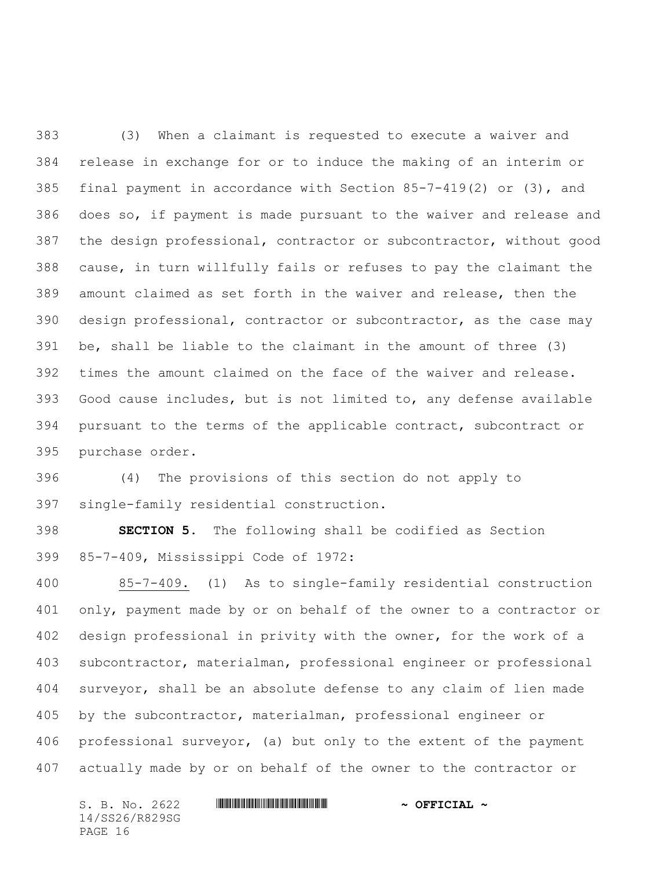(3) When a claimant is requested to execute a waiver and release in exchange for or to induce the making of an interim or final payment in accordance with Section 85-7-419(2) or (3), and does so, if payment is made pursuant to the waiver and release and the design professional, contractor or subcontractor, without good cause, in turn willfully fails or refuses to pay the claimant the amount claimed as set forth in the waiver and release, then the design professional, contractor or subcontractor, as the case may be, shall be liable to the claimant in the amount of three (3) times the amount claimed on the face of the waiver and release. Good cause includes, but is not limited to, any defense available pursuant to the terms of the applicable contract, subcontract or purchase order.

 (4) The provisions of this section do not apply to single-family residential construction.

 **SECTION 5.** The following shall be codified as Section 85-7-409, Mississippi Code of 1972:

 85-7-409. (1) As to single-family residential construction only, payment made by or on behalf of the owner to a contractor or design professional in privity with the owner, for the work of a subcontractor, materialman, professional engineer or professional surveyor, shall be an absolute defense to any claim of lien made by the subcontractor, materialman, professional engineer or professional surveyor, (a) but only to the extent of the payment actually made by or on behalf of the owner to the contractor or

S. B. No. 2622 **\*\*\* WILL AND \*\*\* \*\*\* \*\*\* \*\*\* \*\*\* \*\*\* \*\*\* \*\*\* \*\*\* \*\*\* \*\* \*\*\* \*\* \*\* \*\* \*\* \*\* \*\* \*\* \*\* \*\* \*\* \*\* \*\* \*\* \*\* \*\* \*\* \*\* \*\* \*\* \*\* \*\* \*\* \*\* \*\*** 14/SS26/R829SG PAGE 16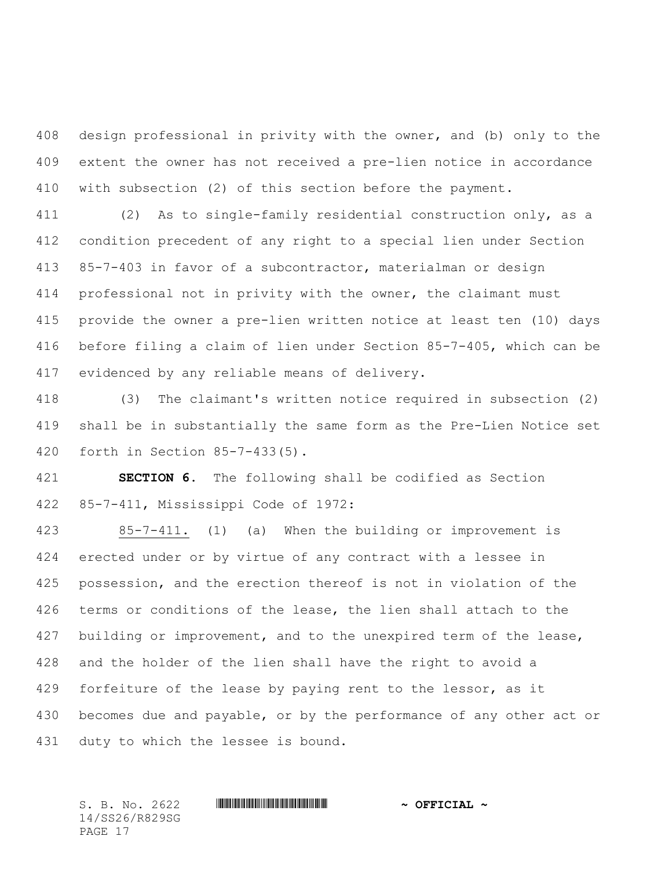design professional in privity with the owner, and (b) only to the extent the owner has not received a pre-lien notice in accordance with subsection (2) of this section before the payment.

 (2) As to single-family residential construction only, as a condition precedent of any right to a special lien under Section 85-7-403 in favor of a subcontractor, materialman or design professional not in privity with the owner, the claimant must provide the owner a pre-lien written notice at least ten (10) days before filing a claim of lien under Section 85-7-405, which can be evidenced by any reliable means of delivery.

 (3) The claimant's written notice required in subsection (2) shall be in substantially the same form as the Pre-Lien Notice set forth in Section 85-7-433(5).

 **SECTION 6.** The following shall be codified as Section 85-7-411, Mississippi Code of 1972:

 85-7-411. (1) (a) When the building or improvement is erected under or by virtue of any contract with a lessee in possession, and the erection thereof is not in violation of the terms or conditions of the lease, the lien shall attach to the 427 building or improvement, and to the unexpired term of the lease, and the holder of the lien shall have the right to avoid a 429 forfeiture of the lease by paying rent to the lessor, as it becomes due and payable, or by the performance of any other act or duty to which the lessee is bound.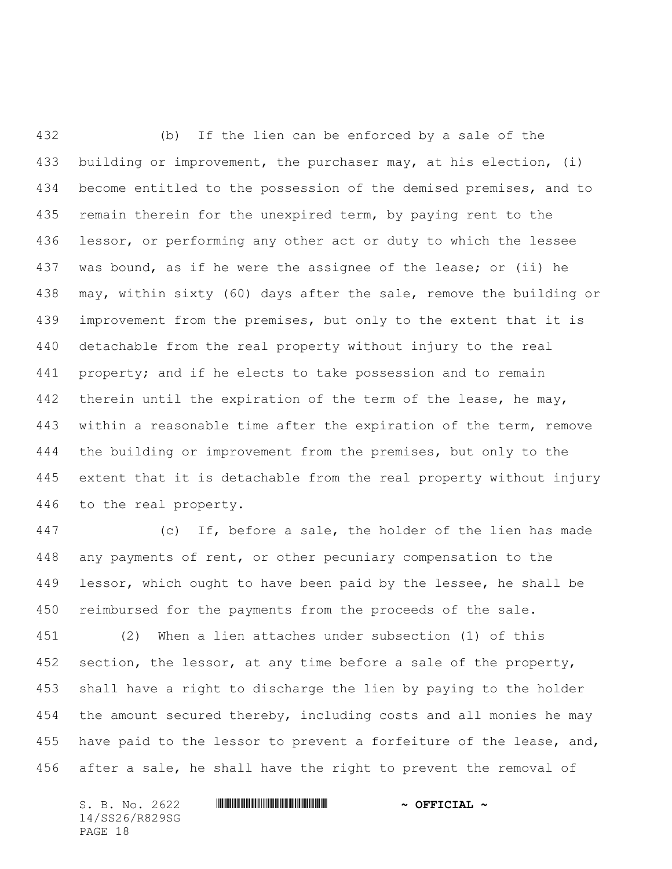(b) If the lien can be enforced by a sale of the building or improvement, the purchaser may, at his election, (i) become entitled to the possession of the demised premises, and to remain therein for the unexpired term, by paying rent to the lessor, or performing any other act or duty to which the lessee was bound, as if he were the assignee of the lease; or (ii) he may, within sixty (60) days after the sale, remove the building or improvement from the premises, but only to the extent that it is detachable from the real property without injury to the real property; and if he elects to take possession and to remain 442 therein until the expiration of the term of the lease, he may, within a reasonable time after the expiration of the term, remove the building or improvement from the premises, but only to the extent that it is detachable from the real property without injury to the real property.

 (c) If, before a sale, the holder of the lien has made any payments of rent, or other pecuniary compensation to the 449 lessor, which ought to have been paid by the lessee, he shall be reimbursed for the payments from the proceeds of the sale. (2) When a lien attaches under subsection (1) of this 452 section, the lessor, at any time before a sale of the property,

 shall have a right to discharge the lien by paying to the holder 454 the amount secured thereby, including costs and all monies he may have paid to the lessor to prevent a forfeiture of the lease, and, after a sale, he shall have the right to prevent the removal of

14/SS26/R829SG PAGE 18

### S. B. No. 2622 **\*\*\* WILL AND ASSEMBLE TO A SET CIAL ~**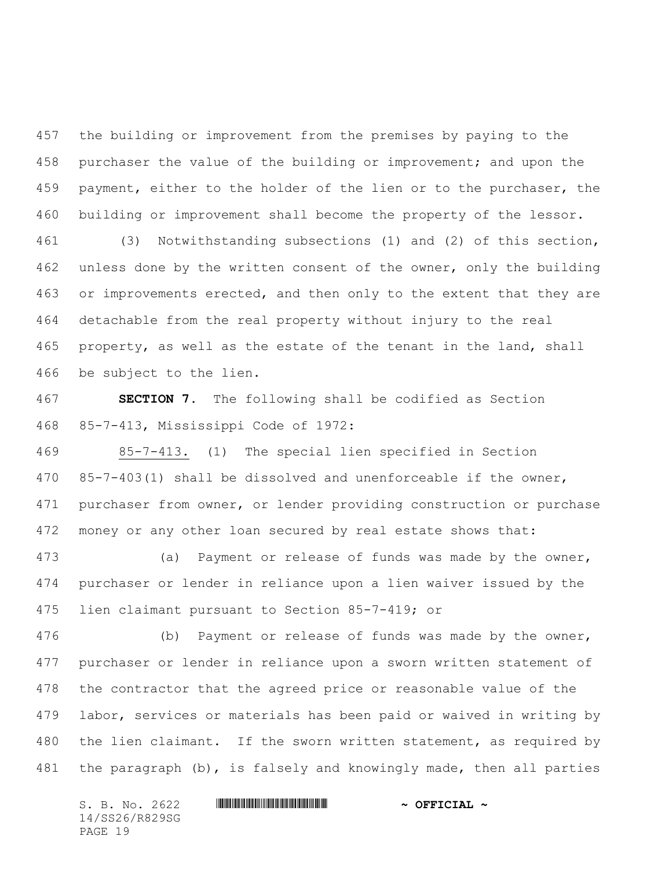the building or improvement from the premises by paying to the purchaser the value of the building or improvement; and upon the 459 payment, either to the holder of the lien or to the purchaser, the building or improvement shall become the property of the lessor.

 (3) Notwithstanding subsections (1) and (2) of this section, unless done by the written consent of the owner, only the building 463 or improvements erected, and then only to the extent that they are detachable from the real property without injury to the real property, as well as the estate of the tenant in the land, shall be subject to the lien.

 **SECTION 7.** The following shall be codified as Section 85-7-413, Mississippi Code of 1972:

 85-7-413. (1) The special lien specified in Section 85-7-403(1) shall be dissolved and unenforceable if the owner, purchaser from owner, or lender providing construction or purchase 472 money or any other loan secured by real estate shows that:

 (a) Payment or release of funds was made by the owner, purchaser or lender in reliance upon a lien waiver issued by the lien claimant pursuant to Section 85-7-419; or

 (b) Payment or release of funds was made by the owner, purchaser or lender in reliance upon a sworn written statement of the contractor that the agreed price or reasonable value of the labor, services or materials has been paid or waived in writing by 480 the lien claimant. If the sworn written statement, as required by the paragraph (b), is falsely and knowingly made, then all parties

S. B. No. 2622 **\*\*\* WILL AND \*\*\* \*\*\* \*\*\* \*\*\* \*\*\* \*\*\* \*\*\* \*\*\* \*\*\* \*\*\* \*\* \*\*\* \*\* \*\* \*\* \*\* \*\* \*\* \*\* \*\* \*\* \*\* \*\* \*\* \*\* \*\* \*\* \*\* \*\* \*\* \*\* \*\* \*\* \*\* \*\* \*\*** 14/SS26/R829SG PAGE 19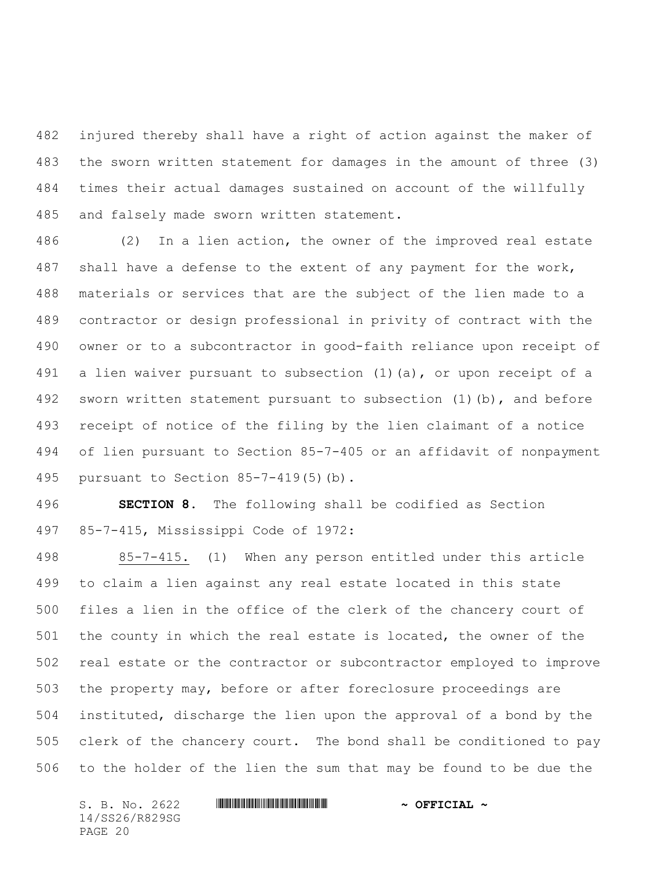injured thereby shall have a right of action against the maker of the sworn written statement for damages in the amount of three (3) times their actual damages sustained on account of the willfully and falsely made sworn written statement.

 (2) In a lien action, the owner of the improved real estate shall have a defense to the extent of any payment for the work, materials or services that are the subject of the lien made to a contractor or design professional in privity of contract with the owner or to a subcontractor in good-faith reliance upon receipt of a lien waiver pursuant to subsection (1)(a), or upon receipt of a 492 sworn written statement pursuant to subsection (1)(b), and before receipt of notice of the filing by the lien claimant of a notice of lien pursuant to Section 85-7-405 or an affidavit of nonpayment pursuant to Section 85-7-419(5)(b).

 **SECTION 8.** The following shall be codified as Section 85-7-415, Mississippi Code of 1972:

 85-7-415. (1) When any person entitled under this article to claim a lien against any real estate located in this state files a lien in the office of the clerk of the chancery court of the county in which the real estate is located, the owner of the real estate or the contractor or subcontractor employed to improve the property may, before or after foreclosure proceedings are instituted, discharge the lien upon the approval of a bond by the clerk of the chancery court. The bond shall be conditioned to pay to the holder of the lien the sum that may be found to be due the

14/SS26/R829SG PAGE 20

# S. B. No. 2622 \*SS26/R829SG\* **~ OFFICIAL ~**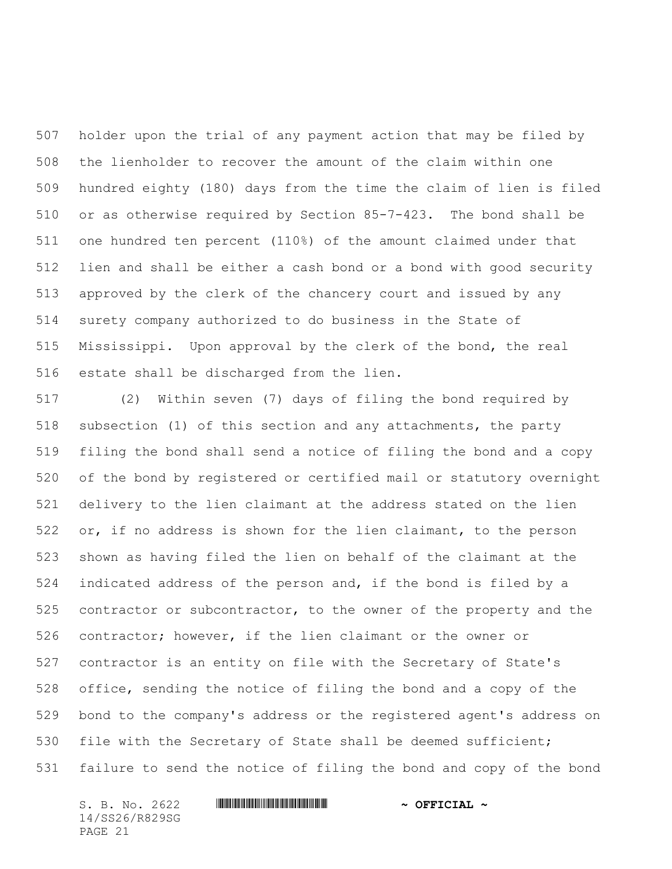holder upon the trial of any payment action that may be filed by the lienholder to recover the amount of the claim within one hundred eighty (180) days from the time the claim of lien is filed or as otherwise required by Section 85-7-423. The bond shall be one hundred ten percent (110%) of the amount claimed under that lien and shall be either a cash bond or a bond with good security approved by the clerk of the chancery court and issued by any surety company authorized to do business in the State of Mississippi. Upon approval by the clerk of the bond, the real estate shall be discharged from the lien.

 (2) Within seven (7) days of filing the bond required by subsection (1) of this section and any attachments, the party filing the bond shall send a notice of filing the bond and a copy of the bond by registered or certified mail or statutory overnight delivery to the lien claimant at the address stated on the lien or, if no address is shown for the lien claimant, to the person shown as having filed the lien on behalf of the claimant at the indicated address of the person and, if the bond is filed by a 525 contractor or subcontractor, to the owner of the property and the contractor; however, if the lien claimant or the owner or contractor is an entity on file with the Secretary of State's office, sending the notice of filing the bond and a copy of the bond to the company's address or the registered agent's address on 530 file with the Secretary of State shall be deemed sufficient; failure to send the notice of filing the bond and copy of the bond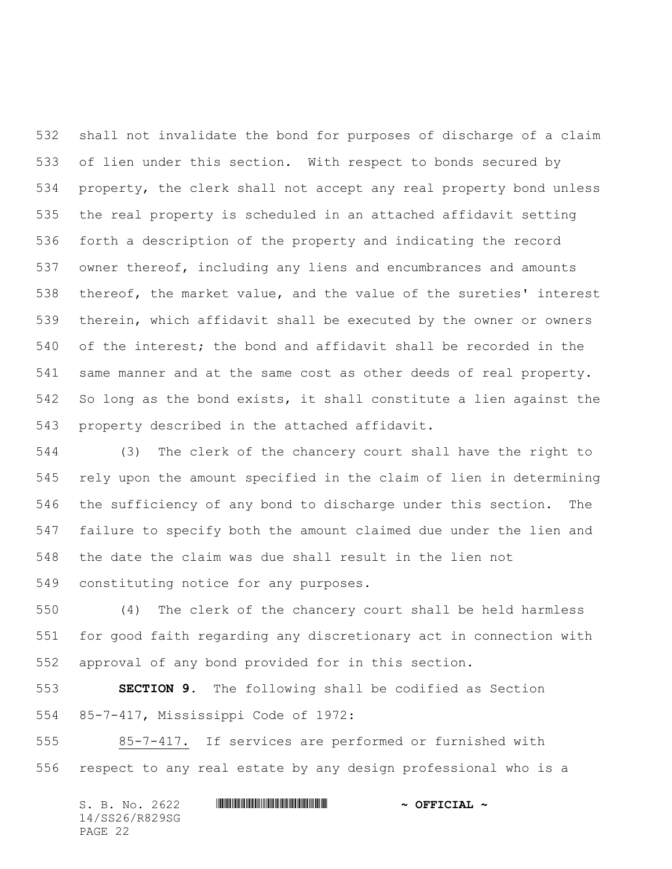shall not invalidate the bond for purposes of discharge of a claim of lien under this section. With respect to bonds secured by property, the clerk shall not accept any real property bond unless the real property is scheduled in an attached affidavit setting forth a description of the property and indicating the record owner thereof, including any liens and encumbrances and amounts thereof, the market value, and the value of the sureties' interest therein, which affidavit shall be executed by the owner or owners of the interest; the bond and affidavit shall be recorded in the same manner and at the same cost as other deeds of real property. So long as the bond exists, it shall constitute a lien against the property described in the attached affidavit.

 (3) The clerk of the chancery court shall have the right to rely upon the amount specified in the claim of lien in determining the sufficiency of any bond to discharge under this section. The failure to specify both the amount claimed due under the lien and the date the claim was due shall result in the lien not constituting notice for any purposes.

 (4) The clerk of the chancery court shall be held harmless for good faith regarding any discretionary act in connection with approval of any bond provided for in this section.

 **SECTION 9.** The following shall be codified as Section 85-7-417, Mississippi Code of 1972:

 85-7-417. If services are performed or furnished with respect to any real estate by any design professional who is a

|         |  | S. B. No. 2622 |  | $\sim$ OFFICIAL $\sim$ |
|---------|--|----------------|--|------------------------|
|         |  | 14/SS26/R829SG |  |                        |
| PAGE 22 |  |                |  |                        |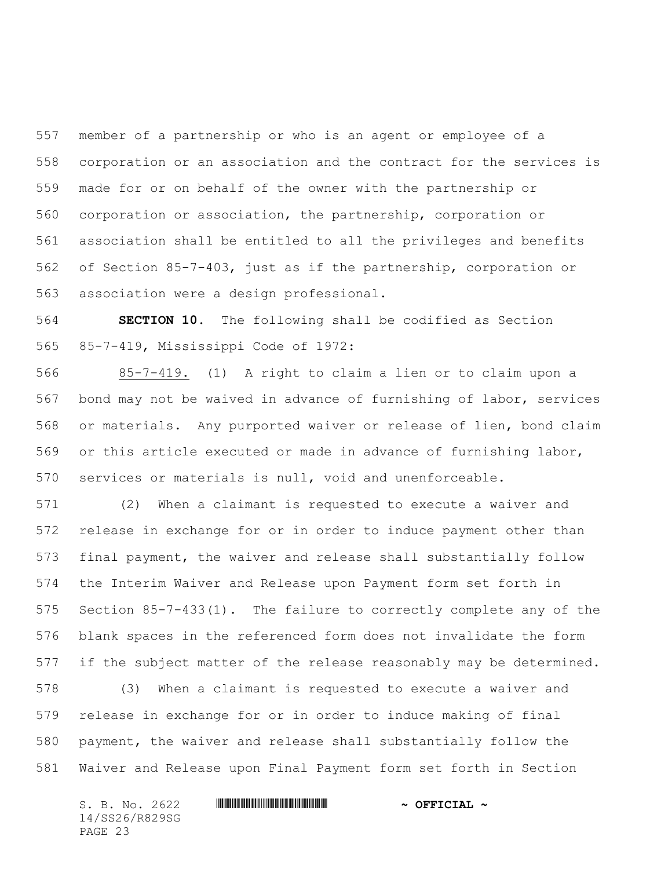member of a partnership or who is an agent or employee of a corporation or an association and the contract for the services is made for or on behalf of the owner with the partnership or corporation or association, the partnership, corporation or association shall be entitled to all the privileges and benefits of Section 85-7-403, just as if the partnership, corporation or association were a design professional.

 **SECTION 10.** The following shall be codified as Section 85-7-419, Mississippi Code of 1972:

 85-7-419. (1) A right to claim a lien or to claim upon a bond may not be waived in advance of furnishing of labor, services or materials. Any purported waiver or release of lien, bond claim or this article executed or made in advance of furnishing labor, services or materials is null, void and unenforceable.

 (2) When a claimant is requested to execute a waiver and release in exchange for or in order to induce payment other than final payment, the waiver and release shall substantially follow the Interim Waiver and Release upon Payment form set forth in Section 85-7-433(1). The failure to correctly complete any of the blank spaces in the referenced form does not invalidate the form if the subject matter of the release reasonably may be determined.

 (3) When a claimant is requested to execute a waiver and release in exchange for or in order to induce making of final payment, the waiver and release shall substantially follow the Waiver and Release upon Final Payment form set forth in Section

S. B. No. 2622 **\*\*\* WILL AND THE MUNICIPAL \*\*\*** OFFICIAL \*\* 14/SS26/R829SG PAGE 23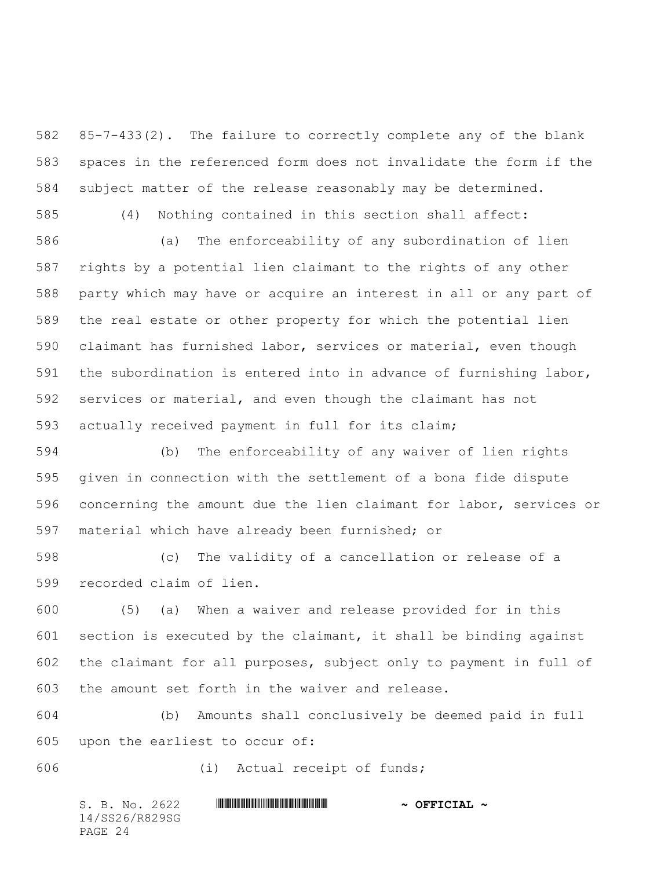85-7-433(2). The failure to correctly complete any of the blank spaces in the referenced form does not invalidate the form if the subject matter of the release reasonably may be determined.

(4) Nothing contained in this section shall affect:

 (a) The enforceability of any subordination of lien rights by a potential lien claimant to the rights of any other party which may have or acquire an interest in all or any part of the real estate or other property for which the potential lien claimant has furnished labor, services or material, even though the subordination is entered into in advance of furnishing labor, services or material, and even though the claimant has not actually received payment in full for its claim;

 (b) The enforceability of any waiver of lien rights given in connection with the settlement of a bona fide dispute concerning the amount due the lien claimant for labor, services or material which have already been furnished; or

 (c) The validity of a cancellation or release of a recorded claim of lien.

 (5) (a) When a waiver and release provided for in this section is executed by the claimant, it shall be binding against the claimant for all purposes, subject only to payment in full of the amount set forth in the waiver and release.

 (b) Amounts shall conclusively be deemed paid in full upon the earliest to occur of:

(i) Actual receipt of funds;

| S. B. No. 2622 | $\sim$ OFFICIAL $\sim$ |
|----------------|------------------------|
| 14/SS26/R829SG |                        |
| PAGE 24        |                        |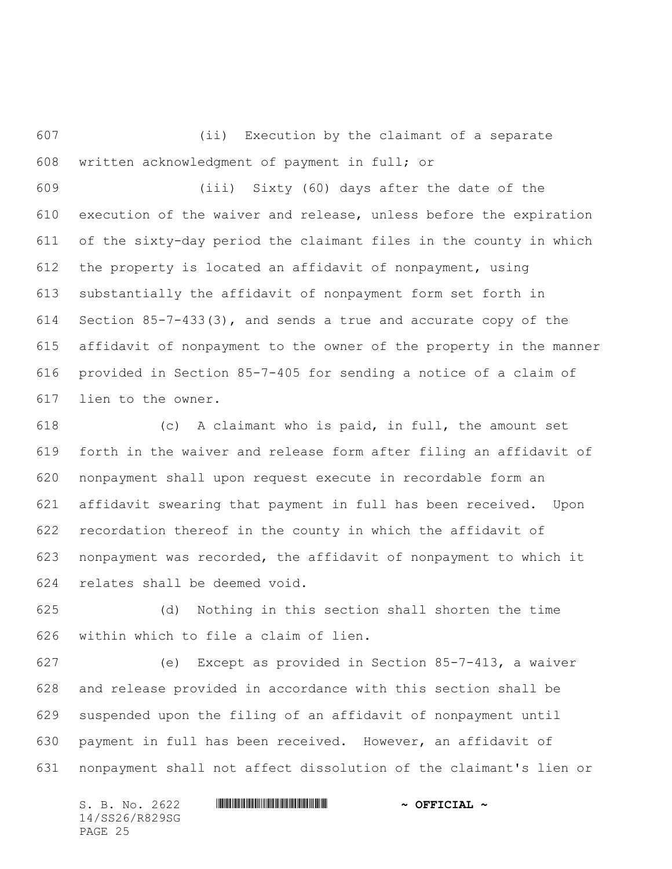(ii) Execution by the claimant of a separate written acknowledgment of payment in full; or

 (iii) Sixty (60) days after the date of the execution of the waiver and release, unless before the expiration of the sixty-day period the claimant files in the county in which the property is located an affidavit of nonpayment, using substantially the affidavit of nonpayment form set forth in Section 85-7-433(3), and sends a true and accurate copy of the affidavit of nonpayment to the owner of the property in the manner provided in Section 85-7-405 for sending a notice of a claim of lien to the owner.

 (c) A claimant who is paid, in full, the amount set forth in the waiver and release form after filing an affidavit of nonpayment shall upon request execute in recordable form an affidavit swearing that payment in full has been received. Upon recordation thereof in the county in which the affidavit of nonpayment was recorded, the affidavit of nonpayment to which it relates shall be deemed void.

 (d) Nothing in this section shall shorten the time within which to file a claim of lien.

 (e) Except as provided in Section 85-7-413, a waiver and release provided in accordance with this section shall be suspended upon the filing of an affidavit of nonpayment until payment in full has been received. However, an affidavit of nonpayment shall not affect dissolution of the claimant's lien or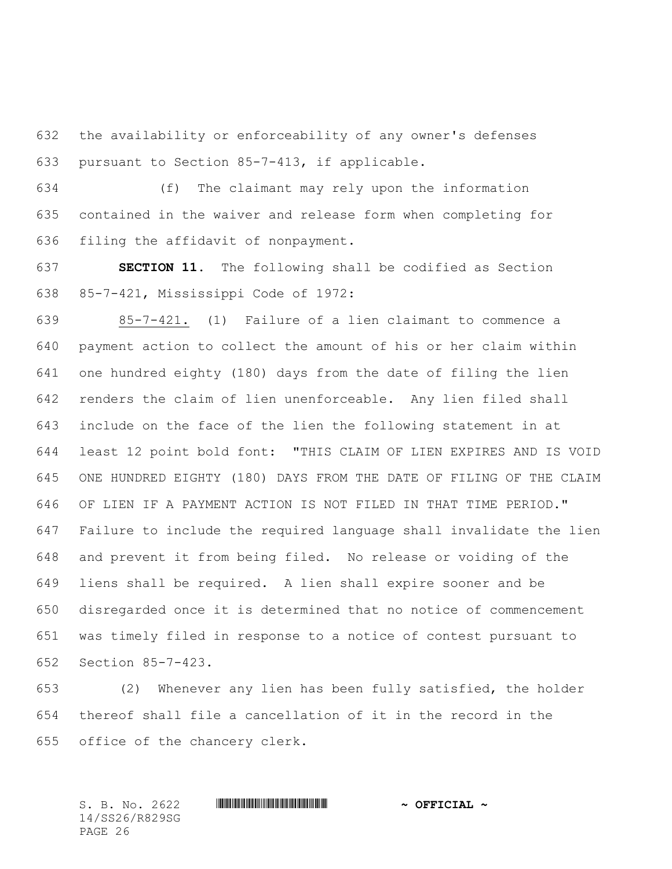the availability or enforceability of any owner's defenses pursuant to Section 85-7-413, if applicable.

 (f) The claimant may rely upon the information contained in the waiver and release form when completing for filing the affidavit of nonpayment.

 **SECTION 11.** The following shall be codified as Section 85-7-421, Mississippi Code of 1972:

 85-7-421. (1) Failure of a lien claimant to commence a payment action to collect the amount of his or her claim within one hundred eighty (180) days from the date of filing the lien renders the claim of lien unenforceable. Any lien filed shall include on the face of the lien the following statement in at least 12 point bold font: "THIS CLAIM OF LIEN EXPIRES AND IS VOID ONE HUNDRED EIGHTY (180) DAYS FROM THE DATE OF FILING OF THE CLAIM OF LIEN IF A PAYMENT ACTION IS NOT FILED IN THAT TIME PERIOD." Failure to include the required language shall invalidate the lien and prevent it from being filed. No release or voiding of the liens shall be required. A lien shall expire sooner and be disregarded once it is determined that no notice of commencement was timely filed in response to a notice of contest pursuant to Section 85-7-423.

 (2) Whenever any lien has been fully satisfied, the holder thereof shall file a cancellation of it in the record in the office of the chancery clerk.

14/SS26/R829SG PAGE 26

# S. B. No. 2622 \*SS26/R829SG\* **~ OFFICIAL ~**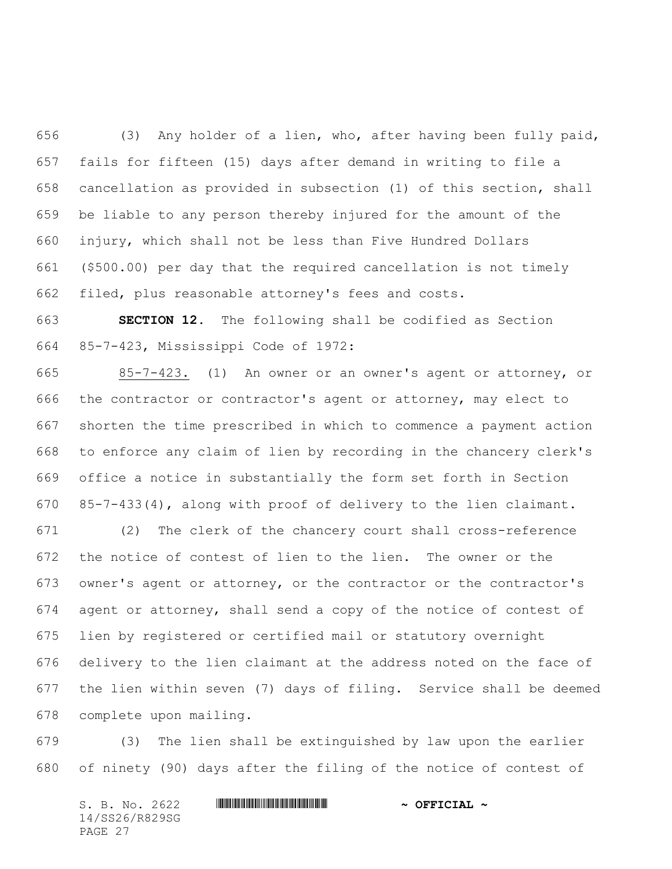(3) Any holder of a lien, who, after having been fully paid, fails for fifteen (15) days after demand in writing to file a cancellation as provided in subsection (1) of this section, shall be liable to any person thereby injured for the amount of the injury, which shall not be less than Five Hundred Dollars (\$500.00) per day that the required cancellation is not timely filed, plus reasonable attorney's fees and costs.

 **SECTION 12.** The following shall be codified as Section 85-7-423, Mississippi Code of 1972:

 85-7-423**.** (1) An owner or an owner's agent or attorney, or the contractor or contractor's agent or attorney, may elect to shorten the time prescribed in which to commence a payment action to enforce any claim of lien by recording in the chancery clerk's office a notice in substantially the form set forth in Section 85-7-433(4), along with proof of delivery to the lien claimant.

 (2) The clerk of the chancery court shall cross-reference the notice of contest of lien to the lien. The owner or the owner's agent or attorney, or the contractor or the contractor's agent or attorney, shall send a copy of the notice of contest of lien by registered or certified mail or statutory overnight delivery to the lien claimant at the address noted on the face of the lien within seven (7) days of filing. Service shall be deemed complete upon mailing.

 (3) The lien shall be extinguished by law upon the earlier of ninety (90) days after the filing of the notice of contest of

S. B. No. 2622 **\*\*\* WILL AND THE MUNICIPAL \*\*\*** OFFICIAL \*\* 14/SS26/R829SG PAGE 27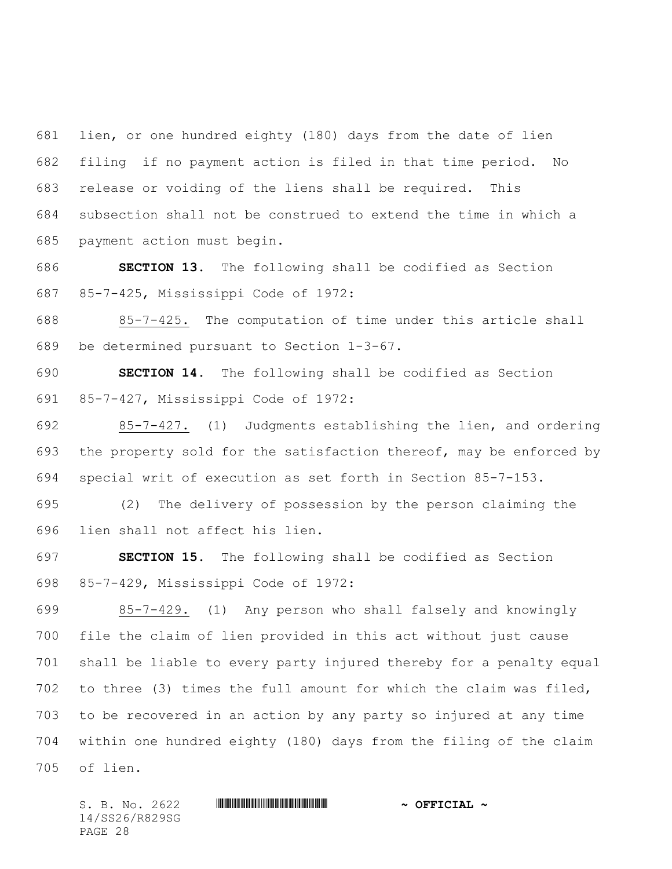lien, or one hundred eighty (180) days from the date of lien filing if no payment action is filed in that time period. No release or voiding of the liens shall be required. This subsection shall not be construed to extend the time in which a payment action must begin.

 **SECTION 13.** The following shall be codified as Section 85-7-425, Mississippi Code of 1972:

 85-7-425. The computation of time under this article shall be determined pursuant to Section 1-3-67.

 **SECTION 14.** The following shall be codified as Section 85-7-427, Mississippi Code of 1972:

 85-7-427. (1) Judgments establishing the lien, and ordering the property sold for the satisfaction thereof, may be enforced by special writ of execution as set forth in Section 85-7-153.

 (2) The delivery of possession by the person claiming the lien shall not affect his lien.

 **SECTION 15.** The following shall be codified as Section 85-7-429, Mississippi Code of 1972:

 85-7-429. (1) Any person who shall falsely and knowingly file the claim of lien provided in this act without just cause shall be liable to every party injured thereby for a penalty equal to three (3) times the full amount for which the claim was filed, to be recovered in an action by any party so injured at any time within one hundred eighty (180) days from the filing of the claim of lien.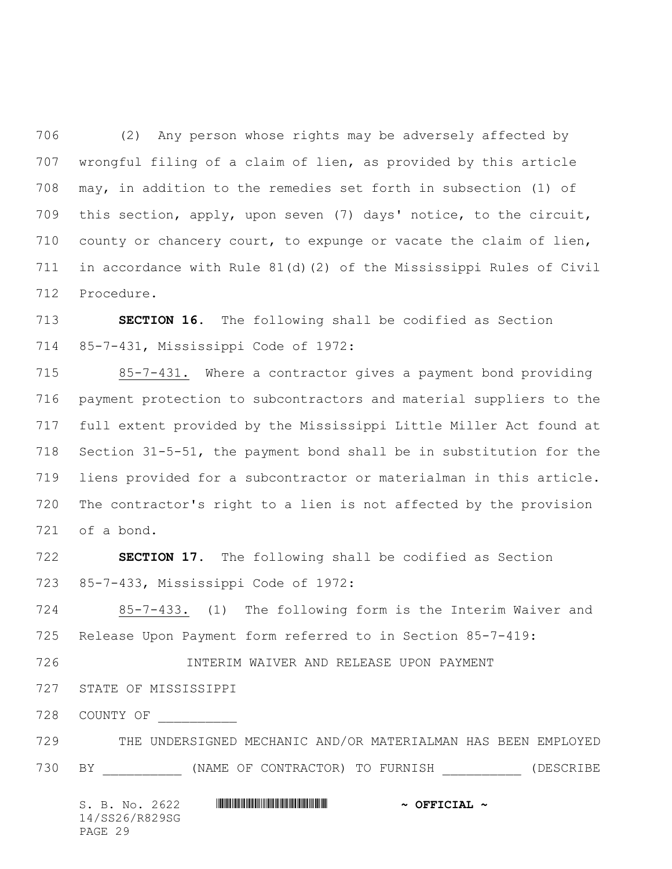(2) Any person whose rights may be adversely affected by wrongful filing of a claim of lien, as provided by this article may, in addition to the remedies set forth in subsection (1) of this section, apply, upon seven (7) days' notice, to the circuit, county or chancery court, to expunge or vacate the claim of lien, in accordance with Rule 81(d)(2) of the Mississippi Rules of Civil Procedure.

 **SECTION 16.** The following shall be codified as Section 85-7-431, Mississippi Code of 1972:

 85-7-431. Where a contractor gives a payment bond providing payment protection to subcontractors and material suppliers to the full extent provided by the Mississippi Little Miller Act found at Section 31-5-51, the payment bond shall be in substitution for the liens provided for a subcontractor or materialman in this article. The contractor's right to a lien is not affected by the provision of a bond.

 **SECTION 17.** The following shall be codified as Section 85-7-433, Mississippi Code of 1972:

 85-7-433. (1) The following form is the Interim Waiver and Release Upon Payment form referred to in Section 85-7-419:

INTERIM WAIVER AND RELEASE UPON PAYMENT

STATE OF MISSISSIPPI

- COUNTY OF \_\_\_\_\_\_\_\_\_\_
- THE UNDERSIGNED MECHANIC AND/OR MATERIALMAN HAS BEEN EMPLOYED
- 730 BY (NAME OF CONTRACTOR) TO FURNISH (DESCRIBE

S. B. No. 2622 **\*\*\* WILL AND THE MUNICIPAL \*\*\*** OFFICIAL \*\* 14/SS26/R829SG PAGE 29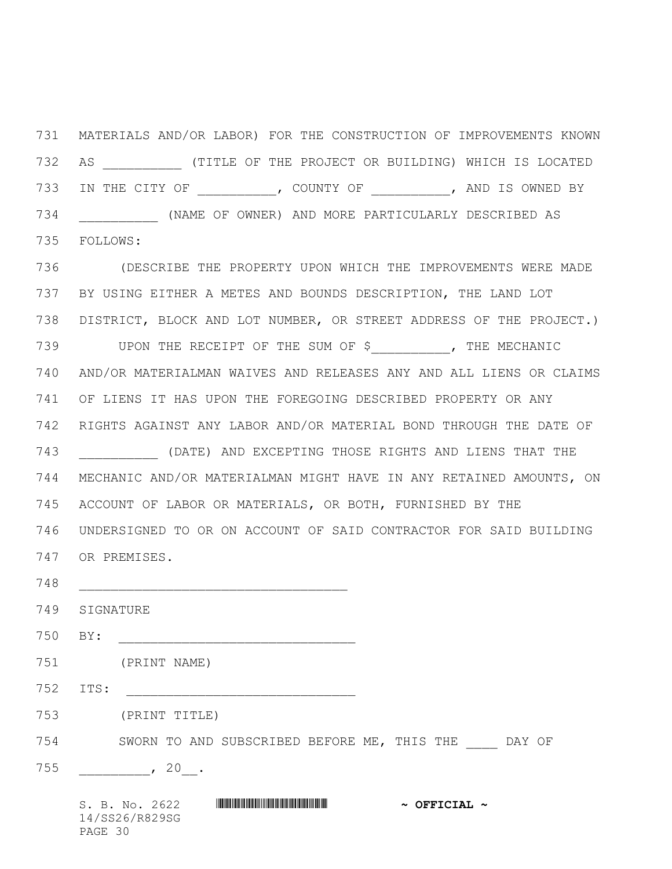MATERIALS AND/OR LABOR) FOR THE CONSTRUCTION OF IMPROVEMENTS KNOWN 732 AS **ALL COMPTAING ASSESSED** (TITLE OF THE PROJECT OR BUILDING) WHICH IS LOCATED IN THE CITY OF \_\_\_\_\_\_\_\_\_\_, COUNTY OF \_\_\_\_\_\_\_\_\_\_, AND IS OWNED BY \_\_\_\_\_\_\_\_\_\_ (NAME OF OWNER) AND MORE PARTICULARLY DESCRIBED AS FOLLOWS:

 (DESCRIBE THE PROPERTY UPON WHICH THE IMPROVEMENTS WERE MADE BY USING EITHER A METES AND BOUNDS DESCRIPTION, THE LAND LOT DISTRICT, BLOCK AND LOT NUMBER, OR STREET ADDRESS OF THE PROJECT.) 739 UPON THE RECEIPT OF THE SUM OF \$ , THE MECHANIC AND/OR MATERIALMAN WAIVES AND RELEASES ANY AND ALL LIENS OR CLAIMS OF LIENS IT HAS UPON THE FOREGOING DESCRIBED PROPERTY OR ANY RIGHTS AGAINST ANY LABOR AND/OR MATERIAL BOND THROUGH THE DATE OF \_\_\_\_\_\_\_\_\_\_ (DATE) AND EXCEPTING THOSE RIGHTS AND LIENS THAT THE MECHANIC AND/OR MATERIALMAN MIGHT HAVE IN ANY RETAINED AMOUNTS, ON ACCOUNT OF LABOR OR MATERIALS, OR BOTH, FURNISHED BY THE UNDERSIGNED TO OR ON ACCOUNT OF SAID CONTRACTOR FOR SAID BUILDING OR PREMISES.

\_\_\_\_\_\_\_\_\_\_\_\_\_\_\_\_\_\_\_\_\_\_\_\_\_\_\_\_\_\_\_\_\_\_

SIGNATURE

750 BY:

(PRINT NAME)

ITS: \_\_\_\_\_\_\_\_\_\_\_\_\_\_\_\_\_\_\_\_\_\_\_\_\_\_\_\_\_

(PRINT TITLE)

754 SWORN TO AND SUBSCRIBED BEFORE ME, THIS THE DAY OF

\_\_\_\_\_\_\_\_\_\_\_\_\_\_, 20\_\_\_.

S. B. No. 2622 **\*\*\* WINNIFFICULARE \*\*\* ~\*\*\* OFFICIAL ~\*** 14/SS26/R829SG PAGE 30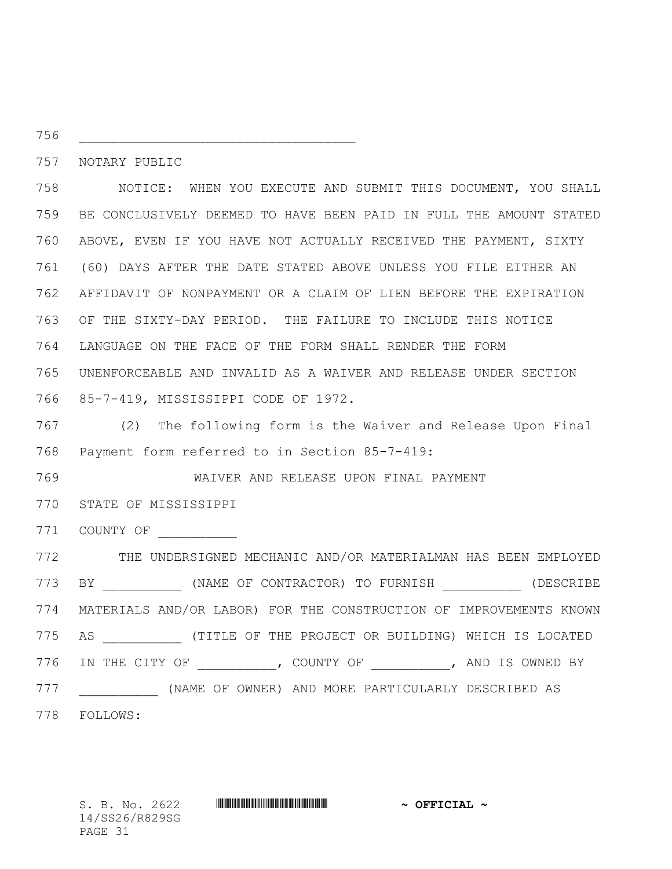NOTARY PUBLIC

\_\_\_\_\_\_\_\_\_\_\_\_\_\_\_\_\_\_\_\_\_\_\_\_\_\_\_\_\_\_\_\_\_\_\_

 NOTICE: WHEN YOU EXECUTE AND SUBMIT THIS DOCUMENT, YOU SHALL BE CONCLUSIVELY DEEMED TO HAVE BEEN PAID IN FULL THE AMOUNT STATED ABOVE, EVEN IF YOU HAVE NOT ACTUALLY RECEIVED THE PAYMENT, SIXTY (60) DAYS AFTER THE DATE STATED ABOVE UNLESS YOU FILE EITHER AN AFFIDAVIT OF NONPAYMENT OR A CLAIM OF LIEN BEFORE THE EXPIRATION OF THE SIXTY-DAY PERIOD. THE FAILURE TO INCLUDE THIS NOTICE LANGUAGE ON THE FACE OF THE FORM SHALL RENDER THE FORM UNENFORCEABLE AND INVALID AS A WAIVER AND RELEASE UNDER SECTION 85-7-419, MISSISSIPPI CODE OF 1972.

 (2) The following form is the Waiver and Release Upon Final Payment form referred to in Section 85-7-419:

WAIVER AND RELEASE UPON FINAL PAYMENT

STATE OF MISSISSIPPI

COUNTY OF \_\_\_\_\_\_\_\_\_\_

 THE UNDERSIGNED MECHANIC AND/OR MATERIALMAN HAS BEEN EMPLOYED BY \_\_\_\_\_\_\_\_\_\_ (NAME OF CONTRACTOR) TO FURNISH \_\_\_\_\_\_\_\_\_\_ (DESCRIBE MATERIALS AND/OR LABOR) FOR THE CONSTRUCTION OF IMPROVEMENTS KNOWN 775 AS **ALL COMPTAING ASSESSED** (TITLE OF THE PROJECT OR BUILDING) WHICH IS LOCATED IN THE CITY OF \_\_\_\_\_\_\_\_\_\_, COUNTY OF \_\_\_\_\_\_\_\_\_\_, AND IS OWNED BY \_\_\_\_\_\_\_\_\_\_ (NAME OF OWNER) AND MORE PARTICULARLY DESCRIBED AS FOLLOWS:

S. B. No. 2622 **\*\*\* WINNIFFICULAL \*\*\* ~\*\*** OFFICIAL \*\* 14/SS26/R829SG PAGE 31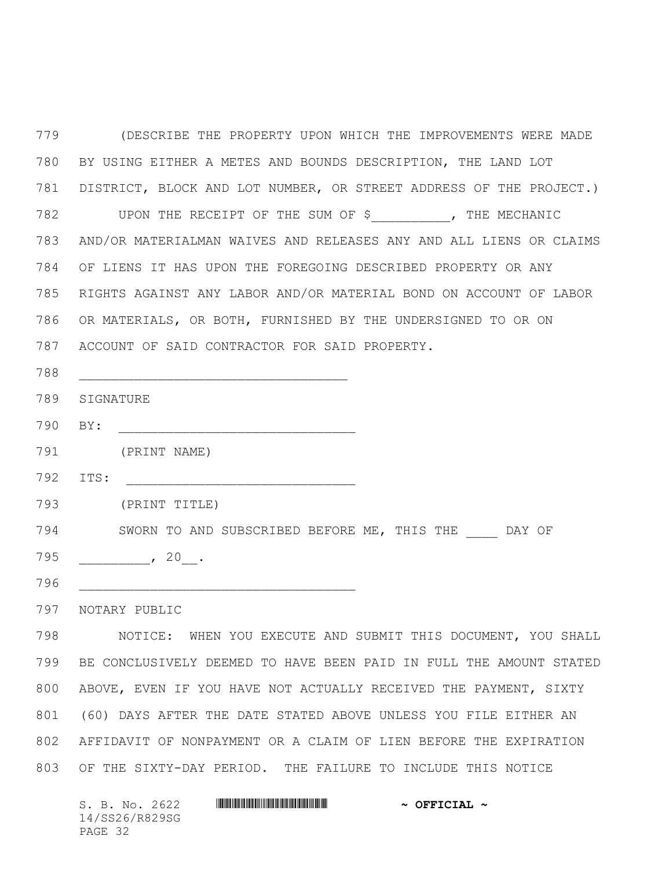(DESCRIBE THE PROPERTY UPON WHICH THE IMPROVEMENTS WERE MADE BY USING EITHER A METES AND BOUNDS DESCRIPTION, THE LAND LOT DISTRICT, BLOCK AND LOT NUMBER, OR STREET ADDRESS OF THE PROJECT.) UPON THE RECEIPT OF THE SUM OF \$\_\_\_\_\_\_\_\_\_\_, THE MECHANIC AND/OR MATERIALMAN WAIVES AND RELEASES ANY AND ALL LIENS OR CLAIMS OF LIENS IT HAS UPON THE FOREGOING DESCRIBED PROPERTY OR ANY RIGHTS AGAINST ANY LABOR AND/OR MATERIAL BOND ON ACCOUNT OF LABOR OR MATERIALS, OR BOTH, FURNISHED BY THE UNDERSIGNED TO OR ON ACCOUNT OF SAID CONTRACTOR FOR SAID PROPERTY. \_\_\_\_\_\_\_\_\_\_\_\_\_\_\_\_\_\_\_\_\_\_\_\_\_\_\_\_\_\_\_\_\_\_ SIGNATURE BY: \_\_\_\_\_\_\_\_\_\_\_\_\_\_\_\_\_\_\_\_\_\_\_\_\_\_\_\_\_\_ (PRINT NAME) ITS: \_\_\_\_\_\_\_\_\_\_\_\_\_\_\_\_\_\_\_\_\_\_\_\_\_\_\_\_\_ (PRINT TITLE) 794 SWORN TO AND SUBSCRIBED BEFORE ME, THIS THE DAY OF \_\_\_\_\_\_\_\_\_, 20\_\_. \_\_\_\_\_\_\_\_\_\_\_\_\_\_\_\_\_\_\_\_\_\_\_\_\_\_\_\_\_\_\_\_\_\_\_ NOTARY PUBLIC NOTICE: WHEN YOU EXECUTE AND SUBMIT THIS DOCUMENT, YOU SHALL BE CONCLUSIVELY DEEMED TO HAVE BEEN PAID IN FULL THE AMOUNT STATED ABOVE, EVEN IF YOU HAVE NOT ACTUALLY RECEIVED THE PAYMENT, SIXTY (60) DAYS AFTER THE DATE STATED ABOVE UNLESS YOU FILE EITHER AN

 AFFIDAVIT OF NONPAYMENT OR A CLAIM OF LIEN BEFORE THE EXPIRATION OF THE SIXTY-DAY PERIOD. THE FAILURE TO INCLUDE THIS NOTICE

| S. B. No. 2622 | $\sim$ OFFICIAL $\sim$ |
|----------------|------------------------|
| 14/SS26/R829SG |                        |
| PAGE 32        |                        |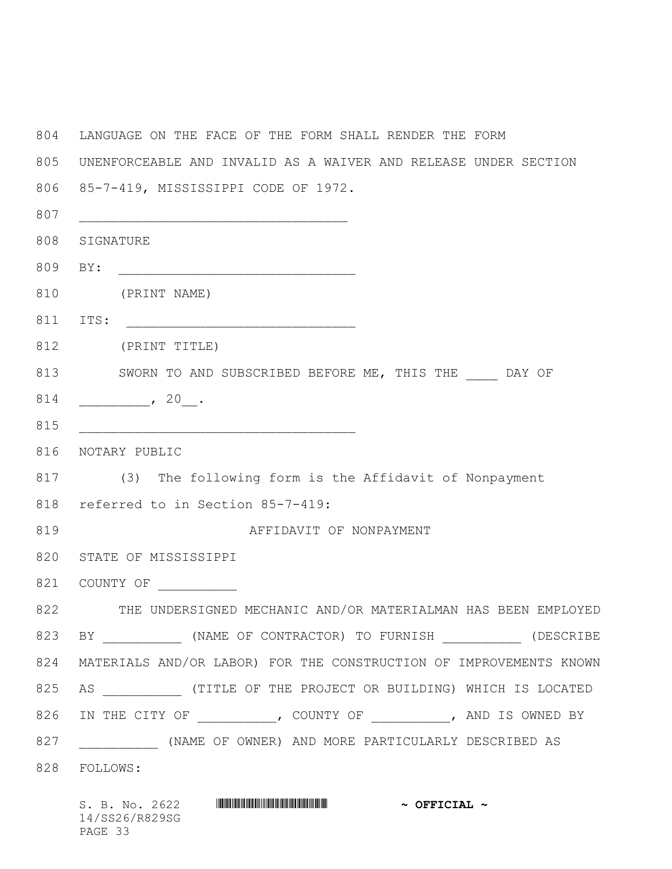LANGUAGE ON THE FACE OF THE FORM SHALL RENDER THE FORM UNENFORCEABLE AND INVALID AS A WAIVER AND RELEASE UNDER SECTION 85-7-419, MISSISSIPPI CODE OF 1972. **biased by the set of the set of the set of the set of the set of the set of the set of the set of the set of the set of the set of the set of the set of the set of the set of the set of the set of the set of the set o**  SIGNATURE BY: \_\_\_\_\_\_\_\_\_\_\_\_\_\_\_\_\_\_\_\_\_\_\_\_\_\_\_\_\_\_ (PRINT NAME) 811 ITS: \_\_\_\_\_\_ (PRINT TITLE) 813 SWORN TO AND SUBSCRIBED BEFORE ME, THIS THE \_\_\_\_\_ DAY OF \_\_\_\_\_\_\_\_\_, 20\_\_. **and a** set of  $\overline{a}$  and  $\overline{b}$  and  $\overline{c}$  and  $\overline{d}$  and  $\overline{d}$  and  $\overline{d}$  and  $\overline{d}$  and  $\overline{d}$  and  $\overline{d}$  and  $\overline{d}$  and  $\overline{d}$  and  $\overline{d}$  and  $\overline{d}$  and  $\overline{d}$  and  $\overline{d}$  and  $\overline{d}$  NOTARY PUBLIC (3) The following form is the Affidavit of Nonpayment referred to in Section 85-7-419: AFFIDAVIT OF NONPAYMENT STATE OF MISSISSIPPI COUNTY OF \_\_\_\_\_\_\_\_\_\_ THE UNDERSIGNED MECHANIC AND/OR MATERIALMAN HAS BEEN EMPLOYED 823 BY (NAME OF CONTRACTOR) TO FURNISH (DESCRIBE MATERIALS AND/OR LABOR) FOR THE CONSTRUCTION OF IMPROVEMENTS KNOWN 825 AS **ALL COMPTAING ASSESSMENT OF THE PROJECT OR BUILDING) WHICH IS LOCATED** 826 IN THE CITY OF  $\longrightarrow$ , COUNTY OF  $\longrightarrow$ , AND IS OWNED BY \_\_\_\_\_\_\_\_\_\_ (NAME OF OWNER) AND MORE PARTICULARLY DESCRIBED AS FOLLOWS:

| S. B. No. 2622 |  | $\sim$ OFFICIAL $\sim$ |  |
|----------------|--|------------------------|--|
| 14/SS26/R829SG |  |                        |  |
| PAGE 33        |  |                        |  |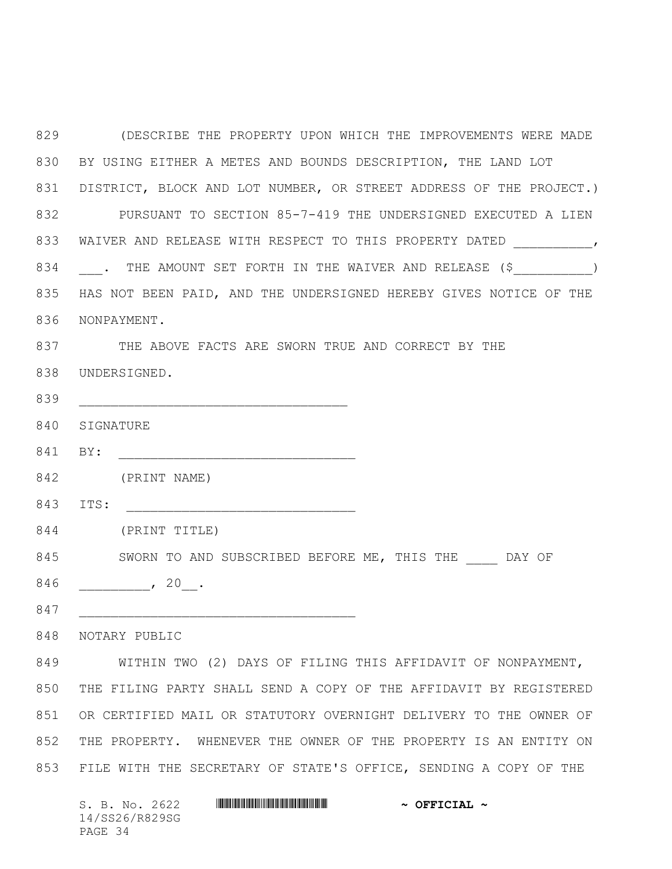(DESCRIBE THE PROPERTY UPON WHICH THE IMPROVEMENTS WERE MADE BY USING EITHER A METES AND BOUNDS DESCRIPTION, THE LAND LOT DISTRICT, BLOCK AND LOT NUMBER, OR STREET ADDRESS OF THE PROJECT.) PURSUANT TO SECTION 85-7-419 THE UNDERSIGNED EXECUTED A LIEN 833 WAIVER AND RELEASE WITH RESPECT TO THIS PROPERTY DATED  $\qquad \qquad$ 834 . THE AMOUNT SET FORTH IN THE WAIVER AND RELEASE (\$ \_\_\_\_\_\_\_\_\_\_\_) HAS NOT BEEN PAID, AND THE UNDERSIGNED HEREBY GIVES NOTICE OF THE NONPAYMENT. THE ABOVE FACTS ARE SWORN TRUE AND CORRECT BY THE UNDERSIGNED. **and the set of the set of the set of the set of the set of the set of the set of the set of the set of the set of the set of the set of the set of the set of the set of the set of the set of the set of the set of the**  SIGNATURE 841 BY: (PRINT NAME) 843 ITS: (PRINT TITLE) 845 SWORN TO AND SUBSCRIBED BEFORE ME, THIS THE DAY OF 846 \_\_\_\_\_\_\_\_\_\_\_\_\_\_\_, 20\_\_\_. \_\_\_\_\_\_\_\_\_\_\_\_\_\_\_\_\_\_\_\_\_\_\_\_\_\_\_\_\_\_\_\_\_\_\_ NOTARY PUBLIC WITHIN TWO (2) DAYS OF FILING THIS AFFIDAVIT OF NONPAYMENT, THE FILING PARTY SHALL SEND A COPY OF THE AFFIDAVIT BY REGISTERED OR CERTIFIED MAIL OR STATUTORY OVERNIGHT DELIVERY TO THE OWNER OF THE PROPERTY. WHENEVER THE OWNER OF THE PROPERTY IS AN ENTITY ON FILE WITH THE SECRETARY OF STATE'S OFFICE, SENDING A COPY OF THE

| S. B. No. 2622 |  | $\sim$ OFFICIAL $\sim$ |  |
|----------------|--|------------------------|--|
| 14/SS26/R829SG |  |                        |  |
| PAGE 34        |  |                        |  |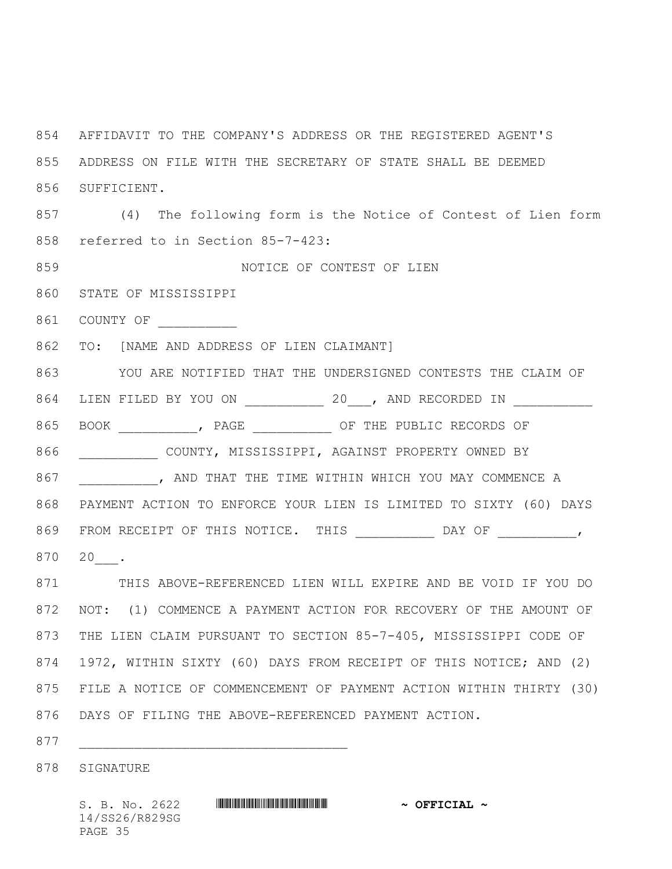AFFIDAVIT TO THE COMPANY'S ADDRESS OR THE REGISTERED AGENT'S ADDRESS ON FILE WITH THE SECRETARY OF STATE SHALL BE DEEMED SUFFICIENT. (4) The following form is the Notice of Contest of Lien form referred to in Section 85-7-423: NOTICE OF CONTEST OF LIEN STATE OF MISSISSIPPI 861 COUNTY OF TO: [NAME AND ADDRESS OF LIEN CLAIMANT] YOU ARE NOTIFIED THAT THE UNDERSIGNED CONTESTS THE CLAIM OF 864 LIEN FILED BY YOU ON , AND RECORDED IN 865 BOOK , PAGE , OF THE PUBLIC RECORDS OF \_\_\_\_\_\_\_\_\_\_ COUNTY, MISSISSIPPI, AGAINST PROPERTY OWNED BY 867 NO AND THAT THE TIME WITHIN WHICH YOU MAY COMMENCE A PAYMENT ACTION TO ENFORCE YOUR LIEN IS LIMITED TO SIXTY (60) DAYS FROM RECEIPT OF THIS NOTICE. THIS \_\_\_\_\_\_\_\_\_\_ DAY OF \_\_\_\_\_\_\_\_\_\_, 20\_\_\_. THIS ABOVE-REFERENCED LIEN WILL EXPIRE AND BE VOID IF YOU DO

 NOT: (1) COMMENCE A PAYMENT ACTION FOR RECOVERY OF THE AMOUNT OF THE LIEN CLAIM PURSUANT TO SECTION 85-7-405, MISSISSIPPI CODE OF 1972, WITHIN SIXTY (60) DAYS FROM RECEIPT OF THIS NOTICE; AND (2) FILE A NOTICE OF COMMENCEMENT OF PAYMENT ACTION WITHIN THIRTY (30) DAYS OF FILING THE ABOVE-REFERENCED PAYMENT ACTION.

**and a set of the set of the set of the set of the set of the set of the set of the set of the set of the set of the set of the set of the set of the set of the set of the set of the set of the set of the set of the se** 

SIGNATURE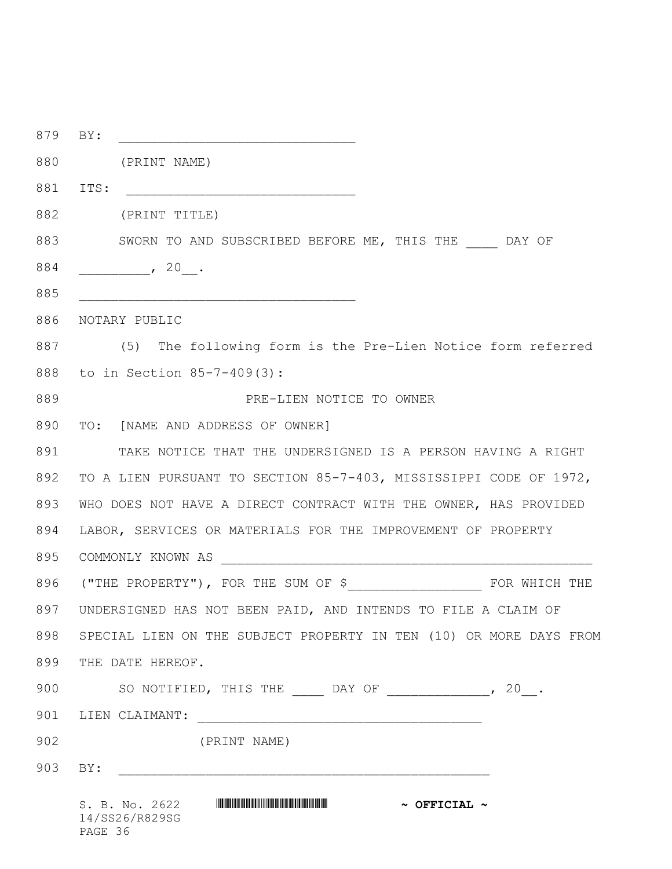| 879 | BY:                                                                                                                                                                                                                                                                                                 |
|-----|-----------------------------------------------------------------------------------------------------------------------------------------------------------------------------------------------------------------------------------------------------------------------------------------------------|
| 880 | (PRINT NAME)                                                                                                                                                                                                                                                                                        |
| 881 | ITS:                                                                                                                                                                                                                                                                                                |
| 882 | (PRINT TITLE)                                                                                                                                                                                                                                                                                       |
| 883 | SWORN TO AND SUBSCRIBED BEFORE ME, THIS THE DAY OF                                                                                                                                                                                                                                                  |
| 884 | , 20.                                                                                                                                                                                                                                                                                               |
| 885 |                                                                                                                                                                                                                                                                                                     |
| 886 | NOTARY PUBLIC                                                                                                                                                                                                                                                                                       |
| 887 | (5) The following form is the Pre-Lien Notice form referred                                                                                                                                                                                                                                         |
| 888 | to in Section 85-7-409(3):                                                                                                                                                                                                                                                                          |
| 889 | PRE-LIEN NOTICE TO OWNER                                                                                                                                                                                                                                                                            |
| 890 | TO: [NAME AND ADDRESS OF OWNER]                                                                                                                                                                                                                                                                     |
| 891 | TAKE NOTICE THAT THE UNDERSIGNED IS A PERSON HAVING A RIGHT                                                                                                                                                                                                                                         |
| 892 | TO A LIEN PURSUANT TO SECTION 85-7-403, MISSISSIPPI CODE OF 1972,                                                                                                                                                                                                                                   |
| 893 | WHO DOES NOT HAVE A DIRECT CONTRACT WITH THE OWNER, HAS PROVIDED                                                                                                                                                                                                                                    |
| 894 | LABOR, SERVICES OR MATERIALS FOR THE IMPROVEMENT OF PROPERTY                                                                                                                                                                                                                                        |
| 895 |                                                                                                                                                                                                                                                                                                     |
| 896 |                                                                                                                                                                                                                                                                                                     |
|     | 897 UNDERSIGNED HAS NOT BEEN PAID, AND INTENDS TO FILE A CLAIM OF                                                                                                                                                                                                                                   |
| 898 | SPECIAL LIEN ON THE SUBJECT PROPERTY IN TEN (10) OR MORE DAYS FROM                                                                                                                                                                                                                                  |
| 899 | THE DATE HEREOF.                                                                                                                                                                                                                                                                                    |
| 900 | SO NOTIFIED, THIS THE $\rule{1em}{0.15mm}$ DAY OF $\rule{1.5mm}{0.15mm}$ $\rule{1.5mm}{0.15mm}$ $\rule{1.5mm}{0.15mm}$ $\rule{1.5mm}{0.15mm}$ $\rule{1.5mm}{0.15mm}$ $\rule{1.5mm}{0.15mm}$ $\rule{1.5mm}{0.15mm}$ $\rule{1.5mm}{0.15mm}$ $\rule{1.5mm}{0.15mm}$ $\rule{1.5mm}{0.15mm}$ $\rule{1.5$ |
|     |                                                                                                                                                                                                                                                                                                     |
| 902 | (PRINT NAME)                                                                                                                                                                                                                                                                                        |
| 903 | BY:                                                                                                                                                                                                                                                                                                 |
|     | $\sim$ OFFICIAL $\sim$<br>14/SS26/R829SG                                                                                                                                                                                                                                                            |

PAGE 36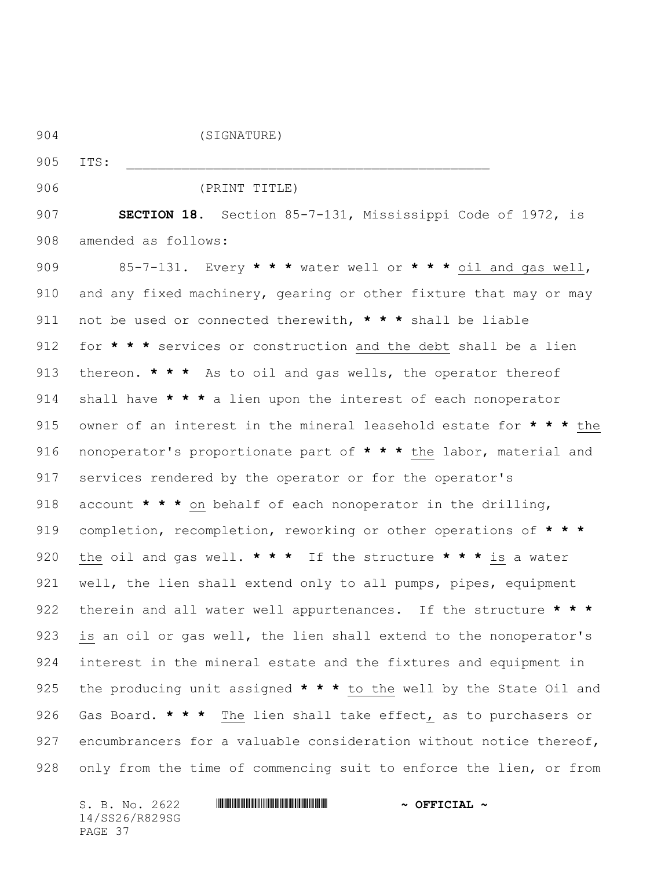| 904 | (SIGNATURE)                                                                      |
|-----|----------------------------------------------------------------------------------|
| 905 | ITS:                                                                             |
| 906 | (PRINT TITLE)                                                                    |
| 907 | <b>SECTION 18.</b> Section 85-7-131, Mississippi Code of 1972, is                |
| 908 | amended as follows:                                                              |
| 909 | 85-7-131. Every * * * water well or * * * oil and gas well,                      |
| 910 | and any fixed machinery, gearing or other fixture that may or may                |
| 911 | not be used or connected therewith, * * * shall be liable                        |
| 912 | for * * * services or construction and the debt shall be a lien                  |
| 913 | thereon. $\star \star \star$ As to oil and gas wells, the operator thereof       |
| 914 | shall have * * * a lien upon the interest of each nonoperator                    |
| 915 | owner of an interest in the mineral leasehold estate for $\star \star \star$ the |
| 916 | nonoperator's proportionate part of * * * the labor, material and                |
| 917 | services rendered by the operator or for the operator's                          |
| 918 | account * * * on behalf of each nonoperator in the drilling,                     |
| 919 | completion, recompletion, reworking or other operations of $\star \star \star$   |
| 920 | the oil and gas well. * * * If the structure * * * is a water                    |
| 921 | well, the lien shall extend only to all pumps, pipes, equipment                  |
| 922 | therein and all water well appurtenances. If the structure $\star \star \star$   |
| 923 | is an oil or gas well, the lien shall extend to the nonoperator's                |
| 924 | interest in the mineral estate and the fixtures and equipment in                 |
| 925 | the producing unit assigned * * * to the well by the State Oil and               |
| 926 | Gas Board. * * * The lien shall take effect, as to purchasers or                 |
| 927 | encumbrancers for a valuable consideration without notice thereof,               |
| 928 | only from the time of commencing suit to enforce the lien, or from               |

14/SS26/R829SG PAGE 37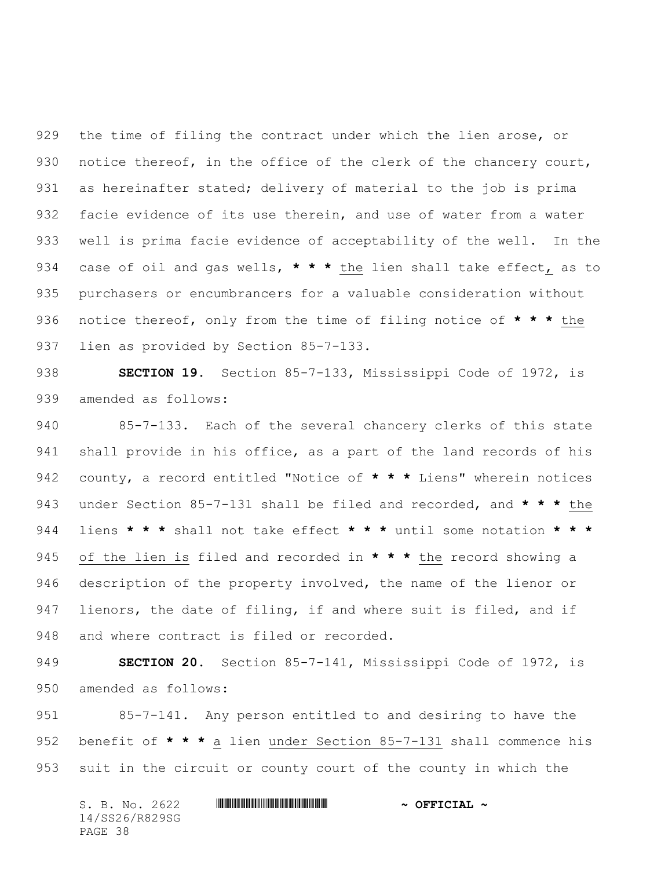the time of filing the contract under which the lien arose, or 930 notice thereof, in the office of the clerk of the chancery court, as hereinafter stated; delivery of material to the job is prima facie evidence of its use therein, and use of water from a water well is prima facie evidence of acceptability of the well. In the case of oil and gas wells, **\* \* \*** the lien shall take effect, as to purchasers or encumbrancers for a valuable consideration without notice thereof, only from the time of filing notice of **\* \* \*** the lien as provided by Section 85-7-133.

 **SECTION 19.** Section 85-7-133, Mississippi Code of 1972, is amended as follows:

 85-7-133. Each of the several chancery clerks of this state shall provide in his office, as a part of the land records of his county, a record entitled "Notice of **\* \* \*** Liens" wherein notices under Section 85-7-131 shall be filed and recorded, and **\* \* \*** the liens **\* \* \*** shall not take effect **\* \* \*** until some notation **\* \* \*** of the lien is filed and recorded in **\* \* \*** the record showing a description of the property involved, the name of the lienor or 947 lienors, the date of filing, if and where suit is filed, and if 948 and where contract is filed or recorded.

 **SECTION 20.** Section 85-7-141, Mississippi Code of 1972, is amended as follows:

 85-7-141. Any person entitled to and desiring to have the benefit of **\* \* \*** a lien under Section 85-7-131 shall commence his suit in the circuit or county court of the county in which the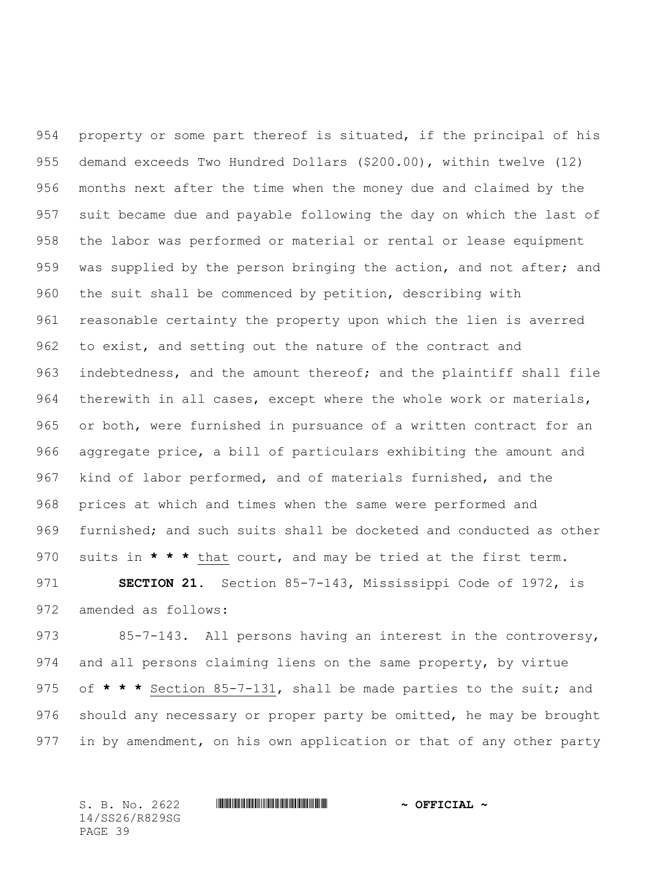property or some part thereof is situated, if the principal of his demand exceeds Two Hundred Dollars (\$200.00), within twelve (12) months next after the time when the money due and claimed by the suit became due and payable following the day on which the last of the labor was performed or material or rental or lease equipment 959 was supplied by the person bringing the action, and not after; and the suit shall be commenced by petition, describing with reasonable certainty the property upon which the lien is averred to exist, and setting out the nature of the contract and indebtedness, and the amount thereof; and the plaintiff shall file therewith in all cases, except where the whole work or materials, or both, were furnished in pursuance of a written contract for an aggregate price, a bill of particulars exhibiting the amount and kind of labor performed, and of materials furnished, and the prices at which and times when the same were performed and furnished; and such suits shall be docketed and conducted as other suits in **\* \* \*** that court, and may be tried at the first term.

 **SECTION 21.** Section 85-7-143, Mississippi Code of 1972, is amended as follows:

973 85-7-143. All persons having an interest in the controversy, and all persons claiming liens on the same property, by virtue of **\* \* \*** Section 85-7-131, shall be made parties to the suit; and should any necessary or proper party be omitted, he may be brought in by amendment, on his own application or that of any other party

14/SS26/R829SG PAGE 39

#### S. B. No. 2622 \*SS26/R829SG\* **~ OFFICIAL ~**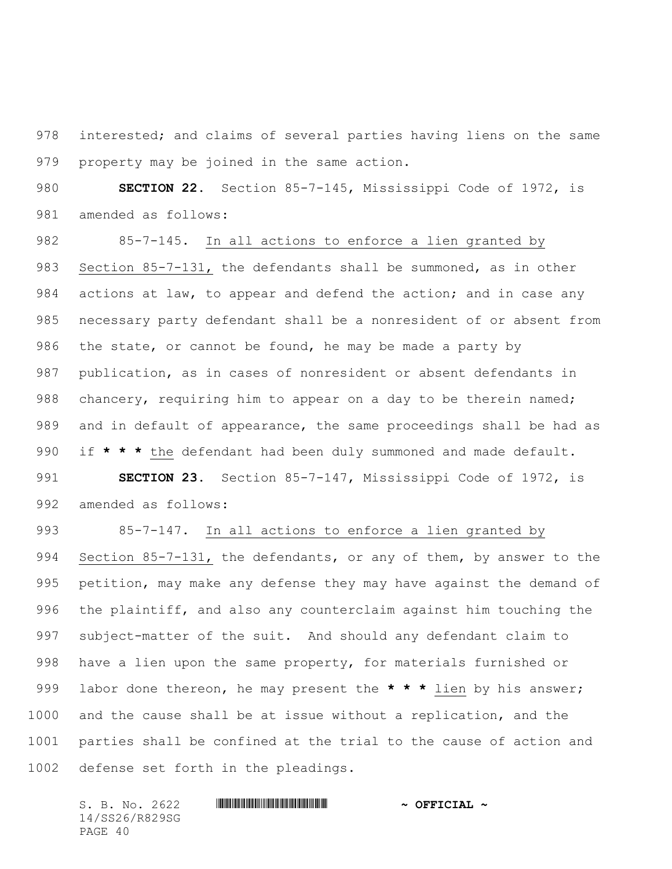interested; and claims of several parties having liens on the same property may be joined in the same action.

 **SECTION 22.** Section 85-7-145, Mississippi Code of 1972, is amended as follows:

 85-7-145. In all actions to enforce a lien granted by Section 85-7-131, the defendants shall be summoned, as in other 984 actions at law, to appear and defend the action; and in case any necessary party defendant shall be a nonresident of or absent from 986 the state, or cannot be found, he may be made a party by publication, as in cases of nonresident or absent defendants in 988 chancery, requiring him to appear on a day to be therein named; and in default of appearance, the same proceedings shall be had as if **\* \* \*** the defendant had been duly summoned and made default. **SECTION 23.** Section 85-7-147, Mississippi Code of 1972, is amended as follows:

 85-7-147. In all actions to enforce a lien granted by Section 85-7-131, the defendants, or any of them, by answer to the petition, may make any defense they may have against the demand of the plaintiff, and also any counterclaim against him touching the subject-matter of the suit. And should any defendant claim to have a lien upon the same property, for materials furnished or labor done thereon, he may present the **\* \* \*** lien by his answer; and the cause shall be at issue without a replication, and the parties shall be confined at the trial to the cause of action and defense set forth in the pleadings.

14/SS26/R829SG PAGE 40

# S. B. No. 2622 \*SS26/R829SG\* **~ OFFICIAL ~**